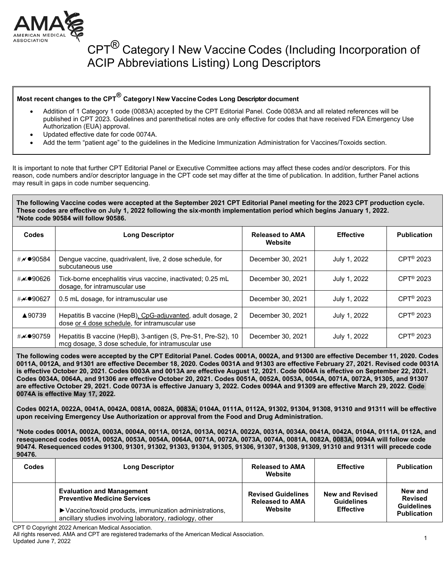

#### CPT<sup>®</sup> Category I New Vaccine Codes (Including Incorporation of ACIP Abbreviations Listing) Long Descriptors

#### **Most recent changes to the CPT® Category I New Vaccine Codes Long Descriptor document**

- Addition of 1 Category 1 code (0083A) accepted by the CPT Editorial Panel. Code 0083A and all related references will be published in CPT 2023. Guidelines and parenthetical notes are only effective for codes that have received FDA Emergency Use Authorization (EUA) approval.
- Updated effective date for code 0074A.
- Add the term "patient age" to the guidelines in the Medicine Immunization Administration for Vaccines/Toxoids section.

It is important to note that further CPT Editorial Panel or Executive Committee actions may affect these codes and/or descriptors. For this reason, code numbers and/or descriptor language in the CPT code set may differ at the time of publication. In addition, further Panel actions may result in gaps in code number sequencing.

#### **The following Vaccine codes were accepted at the September 2021 CPT Editorial Panel meeting for the 2023 CPT production cycle. These codes are effective on July 1, 2022 following the six-month implementation period which begins January 1, 2022. \*Note code 90584 will follow 90586.**

| <b>Codes</b>           | <b>Long Descriptor</b>                                                                                              | <b>Released to AMA</b><br>Website | <b>Effective</b> | <b>Publication</b>     |
|------------------------|---------------------------------------------------------------------------------------------------------------------|-----------------------------------|------------------|------------------------|
| # $\checkmark$ ● 90584 | Dengue vaccine, quadrivalent, live, 2 dose schedule, for<br>subcutaneous use                                        | December 30, 2021                 | July 1, 2022     | $CPT^{\circledR}$ 2023 |
| # <b>≁●</b> 90626      | Tick-borne encephalitis virus vaccine, inactivated; 0.25 mL<br>dosage, for intramuscular use                        | December 30, 2021                 | July 1, 2022     | $CPT^{\circledR}$ 2023 |
| #≁●90627               | 0.5 mL dosage, for intramuscular use                                                                                | December 30, 2021                 | July 1, 2022     | CPT <sup>®</sup> 2023  |
| ▲90739                 | Hepatitis B vaccine (HepB), CpG-adjuvanted, adult dosage, 2<br>dose or 4 dose schedule, for intramuscular use       | December 30, 2021                 | July 1, 2022     | $CPT^{\circledR}$ 2023 |
| #≁●90759               | Hepatitis B vaccine (HepB), 3-antigen (S, Pre-S1, Pre-S2), 10<br>mcg dosage, 3 dose schedule, for intramuscular use | December 30, 2021                 | July 1, 2022     | $CPT^{\circledR}$ 2023 |

**The following codes were accepted by the CPT Editorial Panel. Codes 0001A, 0002A, and 91300 are effective December 11, 2020. Codes 0011A, 0012A, and 91301 are effective December 18, 2020. Codes 0031A and 91303 are effective February 27, 2021. Revised code 0031A is effective October 20, 2021. Codes 0003A and 0013A are effective August 12, 2021. Code 0004A is effective on September 22, 2021. Codes 0034A, 0064A, and 91306 are effective October 20, 2021. Codes 0051A, 0052A, 0053A, 0054A, 0071A, 0072A, 91305, and 91307 are effective October 29, 2021. Code 0073A is effective January 3, 2022. Codes 0094A and 91309 are effective March 29, 2022. Code 0074A is effective May 17, 2022.** 

**Codes 0021A, 0022A, 0041A, 0042A, 0081A, 0082A, 0083A, 0104A, 0111A, 0112A, 91302, 91304, 91308, 91310 and 91311 will be effective upon receiving Emergency Use Authorization or approval from the Food and Drug Administration.**

**\*Note codes 0001A, 0002A, 0003A, 0004A, 0011A, 0012A, 0013A, 0021A, 0022A, 0031A, 0034A, 0041A, 0042A, 0104A, 0111A, 0112A, and resequenced codes 0051A, 0052A, 0053A, 0054A, 0064A, 0071A, 0072A, 0073A, 0074A, 0081A, 0082A, 0083A, 0094A will follow code 90474. Resequenced codes 91300, 91301, 91302, 91303, 91304, 91305, 91306, 91307, 91308, 91309, 91310 and 91311 will precede code 90476.**

| Codes | <b>Long Descriptor</b>                                                                                                                                                                          | <b>Released to AMA</b><br>Website                              | <b>Effective</b>                                                | <b>Publication</b>                                                   |
|-------|-------------------------------------------------------------------------------------------------------------------------------------------------------------------------------------------------|----------------------------------------------------------------|-----------------------------------------------------------------|----------------------------------------------------------------------|
|       | <b>Evaluation and Management</b><br><b>Preventive Medicine Services</b><br>▶ Vaccine/toxoid products, immunization administrations,<br>ancillary studies involving laboratory, radiology, other | <b>Revised Guidelines</b><br><b>Released to AMA</b><br>Website | <b>New and Revised</b><br><b>Guidelines</b><br><b>Effective</b> | New and<br><b>Revised</b><br><b>Guidelines</b><br><b>Publication</b> |

CPT © Copyright 2022 American Medical Association.

All rights reserved. AMA and CPT are registered trademarks of the American Medical Association.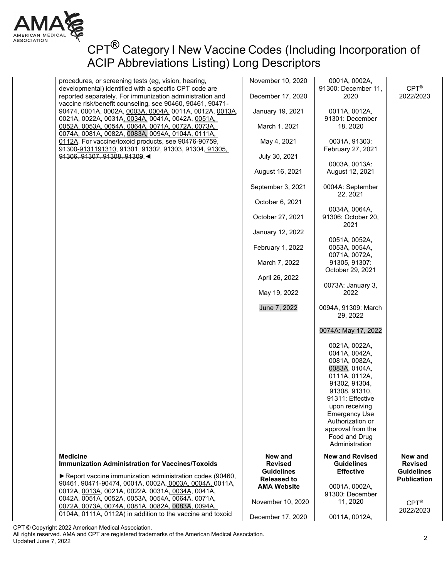

| procedures, or screening tests (eg, vision, hearing,<br>developmental) identified with a specific CPT code are                                           | November 10, 2020                       | 0001A, 0002A,<br>91300: December 11,                                                                                                                                                                                                                          | $CPT^{\circledR}$                       |
|----------------------------------------------------------------------------------------------------------------------------------------------------------|-----------------------------------------|---------------------------------------------------------------------------------------------------------------------------------------------------------------------------------------------------------------------------------------------------------------|-----------------------------------------|
| reported separately. For immunization administration and<br>vaccine risk/benefit counseling, see 90460, 90461, 90471-                                    | December 17, 2020                       | 2020                                                                                                                                                                                                                                                          | 2022/2023                               |
| 90474, 0001A, 0002A, 0003A, 0004A, 0011A, 0012A, 0013A,                                                                                                  | January 19, 2021                        | 0011A, 0012A,                                                                                                                                                                                                                                                 |                                         |
| 0021A, 0022A, 0031A, 0034A, 0041A, 0042A, 0051A,<br>0052A, 0053A, 0054A, 0064A, 0071A, 0072A, 0073A,<br>0074A, 0081A, 0082A, 0083A, 0094A, 0104A, 0111A, | March 1, 2021                           | 91301: December<br>18, 2020                                                                                                                                                                                                                                   |                                         |
| 0112A. For vaccine/toxoid products, see 90476-90759,                                                                                                     | May 4, 2021                             | 0031A, 91303:                                                                                                                                                                                                                                                 |                                         |
| 91300-9131191310, 91301, 91302, 91303, 91304, 91305,<br>91306, 91307, 91308, 91309. ◀                                                                    | July 30, 2021                           | February 27, 2021                                                                                                                                                                                                                                             |                                         |
|                                                                                                                                                          | August 16, 2021                         | 0003A, 0013A:<br>August 12, 2021                                                                                                                                                                                                                              |                                         |
|                                                                                                                                                          | September 3, 2021                       | 0004A: September                                                                                                                                                                                                                                              |                                         |
|                                                                                                                                                          | October 6, 2021                         | 22, 2021                                                                                                                                                                                                                                                      |                                         |
|                                                                                                                                                          | October 27, 2021                        | 0034A, 0064A,<br>91306: October 20,                                                                                                                                                                                                                           |                                         |
|                                                                                                                                                          | January 12, 2022                        | 2021                                                                                                                                                                                                                                                          |                                         |
|                                                                                                                                                          | February 1, 2022                        | 0051A, 0052A,<br>0053A, 0054A,                                                                                                                                                                                                                                |                                         |
|                                                                                                                                                          | March 7, 2022                           | 0071A, 0072A,<br>91305, 91307:<br>October 29, 2021                                                                                                                                                                                                            |                                         |
|                                                                                                                                                          | April 26, 2022                          |                                                                                                                                                                                                                                                               |                                         |
|                                                                                                                                                          | May 19, 2022                            | 0073A: January 3,<br>2022                                                                                                                                                                                                                                     |                                         |
|                                                                                                                                                          | June 7, 2022                            | 0094A, 91309: March<br>29, 2022                                                                                                                                                                                                                               |                                         |
|                                                                                                                                                          |                                         | 0074A: May 17, 2022                                                                                                                                                                                                                                           |                                         |
|                                                                                                                                                          |                                         | 0021A, 0022A,<br>0041A, 0042A,<br>0081A, 0082A,<br>0083A, 0104A,<br>0111A, 0112A,<br>91302, 91304,<br>91308, 91310,<br>91311: Effective<br>upon receiving<br><b>Emergency Use</b><br>Authorization or<br>approval from the<br>Food and Drug<br>Administration |                                         |
| <b>Medicine</b><br><b>Immunization Administration for Vaccines/Toxoids</b>                                                                               | New and<br><b>Revised</b>               | <b>New and Revised</b><br><b>Guidelines</b>                                                                                                                                                                                                                   | New and<br><b>Revised</b>               |
| ▶ Report vaccine immunization administration codes (90460,<br>90461, 90471-90474, 0001A, 0002A, 0003A, 0004A, 0011A,                                     | <b>Guidelines</b><br><b>Released to</b> | <b>Effective</b>                                                                                                                                                                                                                                              | <b>Guidelines</b><br><b>Publication</b> |
| 0012A, 0013A, 0021A, 0022A, 0031A, 0034A, 0041A,                                                                                                         | <b>AMA Website</b>                      | 0001A, 0002A,<br>91300: December                                                                                                                                                                                                                              |                                         |
| 0042A, 0051A, 0052A, 0053A, 0054A, 0064A, 0071A,<br>0072A, 0073A, 0074A, 0081A, 0082A, 0083A, 0094A,                                                     | November 10, 2020                       | 11, 2020                                                                                                                                                                                                                                                      | $CPT^{\circledR}$<br>2022/2023          |
| 0104A, 0111A, 0112A) in addition to the vaccine and toxoid                                                                                               | December 17, 2020                       | 0011A, 0012A,                                                                                                                                                                                                                                                 |                                         |

CPT © Copyright 2022 American Medical Association.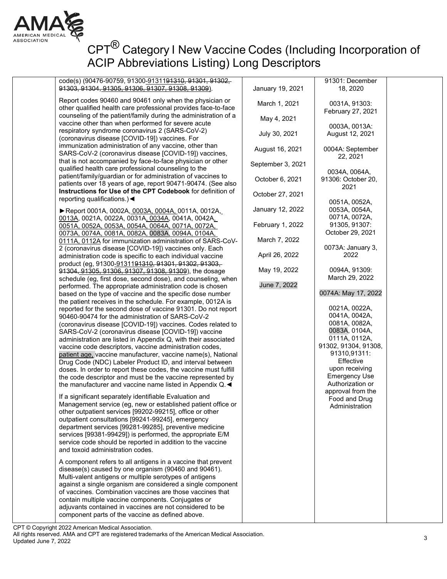

# CPT<sup>®</sup> Category I New Vaccine Codes (Including Incorporation of ACIP Abbreviations Listing) Long Descriptors

code(s) (90476-90759, 91300-9131191310, 91301, 91302, 91303, 91304, 91305, 91306, 91307, 91308, 91309).

Report codes 90460 and 90461 only when the physician or other qualified health care professional provides face-to-face counseling of the patient/family during the administration of a vaccine other than when performed for severe acute respiratory syndrome coronavirus 2 (SARS-CoV-2) (coronavirus disease [COVID-19]) vaccines. For immunization administration of any vaccine, other than SARS-CoV-2 (coronavirus disease [COVID-19]) vaccines, that is not accompanied by face-to-face physician or other qualified health care professional counseling to the patient/family/guardian or for administration of vaccines to patients over 18 years of age, report 90471-90474. (See also **Instructions for Use of the CPT Codebook** for definition of reporting qualifications.)◄

►Report 0001A, 0002A, 0003A, 0004A, 0011A, 0012A, 0013A, 0021A, 0022A, 0031A, 0034A, 0041A, 0042A, 0051A, 0052A, 0053A, 0054A, 0064A, 0071A, 0072A, 0073A, 0074A, 0081A, 0082A, 0083A, 0094A, 0104A, 0111A, 0112A for immunization administration of SARS-CoV-2 (coronavirus disease [COVID-19]) vaccines only. Each administration code is specific to each individual vaccine product (eg, 91300-9131191310, 91301, 91302, 91303, 91304, 91305, 91306, 91307, 91308, 91309), the dosage schedule (eg, first dose, second dose), and counseling, when performed. The appropriate administration code is chosen based on the type of vaccine and the specific dose number the patient receives in the schedule. For example, 0012A is reported for the second dose of vaccine 91301. Do not report 90460-90474 for the administration of SARS-CoV-2 (coronavirus disease [COVID-19]) vaccines. Codes related to SARS-CoV-2 (coronavirus disease [COVID-19]) vaccine administration are listed in Appendix Q, with their associated vaccine code descriptors, vaccine administration codes, patient age, vaccine manufacturer, vaccine name(s), National Drug Code (NDC) Labeler Product ID, and interval between doses. In order to report these codes, the vaccine must fulfill the code descriptor and must be the vaccine represented by the manufacturer and vaccine name listed in Appendix Q.◄

If a significant separately identifiable Evaluation and Management service (eg, new or established patient office or other outpatient services [99202-99215], office or other outpatient consultations [99241-99245], emergency department services [99281-99285], preventive medicine services [99381-99429]) is performed, the appropriate E/M service code should be reported in addition to the vaccine and toxoid administration codes.

A component refers to all antigens in a vaccine that prevent disease(s) caused by one organism (90460 and 90461). Multi-valent antigens or multiple serotypes of antigens against a single organism are considered a single component of vaccines. Combination vaccines are those vaccines that contain multiple vaccine components. Conjugates or adjuvants contained in vaccines are not considered to be component parts of the vaccine as defined above.

| 18, 2020                                                                                                                                                                                                                                                     |                                                                                                                                                                                                                |
|--------------------------------------------------------------------------------------------------------------------------------------------------------------------------------------------------------------------------------------------------------------|----------------------------------------------------------------------------------------------------------------------------------------------------------------------------------------------------------------|
| 0031A, 91303:                                                                                                                                                                                                                                                |                                                                                                                                                                                                                |
|                                                                                                                                                                                                                                                              |                                                                                                                                                                                                                |
| August 12, 2021                                                                                                                                                                                                                                              |                                                                                                                                                                                                                |
| 0004A: September                                                                                                                                                                                                                                             |                                                                                                                                                                                                                |
|                                                                                                                                                                                                                                                              |                                                                                                                                                                                                                |
| 91306: October 20,                                                                                                                                                                                                                                           |                                                                                                                                                                                                                |
|                                                                                                                                                                                                                                                              |                                                                                                                                                                                                                |
| 0053A, 0054A,                                                                                                                                                                                                                                                |                                                                                                                                                                                                                |
| 91305, 91307:                                                                                                                                                                                                                                                |                                                                                                                                                                                                                |
|                                                                                                                                                                                                                                                              |                                                                                                                                                                                                                |
| 2022                                                                                                                                                                                                                                                         |                                                                                                                                                                                                                |
| 0094A, 91309:                                                                                                                                                                                                                                                |                                                                                                                                                                                                                |
|                                                                                                                                                                                                                                                              |                                                                                                                                                                                                                |
| 0021A, 0022A,<br>0041A, 0042A,<br>0081A, 0082A,<br>0083A, 0104A,<br>0111A, 0112A,<br>91302, 91304, 91308,<br>91310,91311:<br>Effective<br>upon receiving<br><b>Emergency Use</b><br>Authorization or<br>approval from the<br>Food and Drug<br>Administration |                                                                                                                                                                                                                |
|                                                                                                                                                                                                                                                              | 91301: December<br>February 27, 2021<br>0003A, 0013A:<br>22, 2021<br>0034A, 0064A,<br>2021<br>0051A, 0052A,<br>0071A, 0072A,<br>October 29, 2021<br>0073A: January 3,<br>March 29, 2022<br>0074A: May 17, 2022 |

CPT © Copyright 2022 American Medical Association.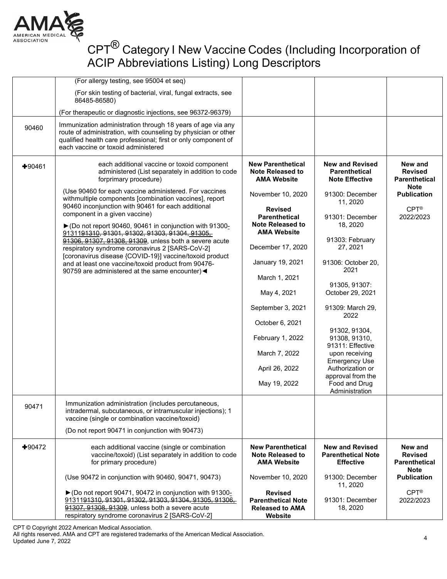

|          | (For allergy testing, see 95004 et seq)                                                                                                                                                                                                |                                                                                  |                                                                         |                                                                  |
|----------|----------------------------------------------------------------------------------------------------------------------------------------------------------------------------------------------------------------------------------------|----------------------------------------------------------------------------------|-------------------------------------------------------------------------|------------------------------------------------------------------|
|          | (For skin testing of bacterial, viral, fungal extracts, see<br>86485-86580)                                                                                                                                                            |                                                                                  |                                                                         |                                                                  |
|          | (For therapeutic or diagnostic injections, see 96372-96379)                                                                                                                                                                            |                                                                                  |                                                                         |                                                                  |
| 90460    | Immunization administration through 18 years of age via any<br>route of administration, with counseling by physician or other<br>qualified health care professional; first or only component of<br>each vaccine or toxoid administered |                                                                                  |                                                                         |                                                                  |
| $+90461$ | each additional vaccine or toxoid component<br>administered (List separately in addition to code<br>forprimary procedure)                                                                                                              | <b>New Parenthetical</b><br><b>Note Released to</b><br><b>AMA Website</b>        | <b>New and Revised</b><br><b>Parenthetical</b><br><b>Note Effective</b> | New and<br><b>Revised</b><br><b>Parenthetical</b>                |
|          | (Use 90460 for each vaccine administered. For vaccines<br>withmultiple components [combination vaccines], report                                                                                                                       | November 10, 2020                                                                | 91300: December<br>11, 2020                                             | <b>Note</b><br><b>Publication</b>                                |
|          | 90460 inconjunction with 90461 for each additional<br>component in a given vaccine)<br>▶ (Do not report 90460, 90461 in conjunction with 91300-<br>9131191310, 91301, 91302, 91303, 91304, 91305,                                      | <b>Revised</b><br><b>Parenthetical</b><br>Note Released to<br><b>AMA Website</b> | 91301: December<br>18, 2020                                             | $CPT^{\otimes}$<br>2022/2023                                     |
|          | 91306, 91307, 91308, 91309, unless both a severe acute<br>respiratory syndrome coronavirus 2 [SARS-CoV-2]                                                                                                                              | December 17, 2020                                                                | 91303: February<br>27, 2021                                             |                                                                  |
|          | [coronavirus disease {COVID-19}] vaccine/toxoid product<br>and at least one vaccine/toxoid product from 90476-<br>90759 are administered at the same encounter) <                                                                      | January 19, 2021                                                                 | 91306: October 20,<br>2021                                              |                                                                  |
|          |                                                                                                                                                                                                                                        | March 1, 2021                                                                    |                                                                         |                                                                  |
|          |                                                                                                                                                                                                                                        | May 4, 2021                                                                      | 91305, 91307:<br>October 29, 2021                                       |                                                                  |
|          |                                                                                                                                                                                                                                        | September 3, 2021                                                                | 91309: March 29,<br>2022                                                |                                                                  |
|          |                                                                                                                                                                                                                                        | October 6, 2021                                                                  |                                                                         |                                                                  |
|          |                                                                                                                                                                                                                                        | February 1, 2022                                                                 | 91302, 91304,<br>91308, 91310,<br>91311: Effective                      |                                                                  |
|          |                                                                                                                                                                                                                                        | March 7, 2022                                                                    | upon receiving<br><b>Emergency Use</b>                                  |                                                                  |
|          |                                                                                                                                                                                                                                        | April 26, 2022                                                                   | Authorization or<br>approval from the                                   |                                                                  |
|          |                                                                                                                                                                                                                                        | May 19, 2022                                                                     | Food and Drug<br>Administration                                         |                                                                  |
| 90471    | Immunization administration (includes percutaneous,<br>intradermal, subcutaneous, or intramuscular injections); 1<br>vaccine (single or combination vaccine/toxoid)                                                                    |                                                                                  |                                                                         |                                                                  |
|          | (Do not report 90471 in conjunction with 90473)                                                                                                                                                                                        |                                                                                  |                                                                         |                                                                  |
| $+90472$ | each additional vaccine (single or combination<br>vaccine/toxoid) (List separately in addition to code<br>for primary procedure)                                                                                                       | <b>New Parenthetical</b><br><b>Note Released to</b><br><b>AMA Website</b>        | <b>New and Revised</b><br><b>Parenthetical Note</b><br><b>Effective</b> | New and<br><b>Revised</b><br><b>Parenthetical</b><br><b>Note</b> |
|          | (Use 90472 in conjunction with 90460, 90471, 90473)                                                                                                                                                                                    | November 10, 2020                                                                | 91300: December<br>11, 2020                                             | <b>Publication</b>                                               |
|          | ▶ (Do not report 90471, 90472 in conjunction with 91300-<br>9131191310, 91301, 91302, 91303, 91304, 91305, 91306,                                                                                                                      | <b>Revised</b><br><b>Parenthetical Note</b>                                      | 91301: December                                                         | $CPT^{\circledR}$<br>2022/2023                                   |
|          | 91307, 91308, 91309, unless both a severe acute<br>respiratory syndrome coronavirus 2 [SARS-CoV-2]                                                                                                                                     | <b>Released to AMA</b><br>Website                                                | 18, 2020                                                                |                                                                  |

CPT © Copyright 2022 American Medical Association.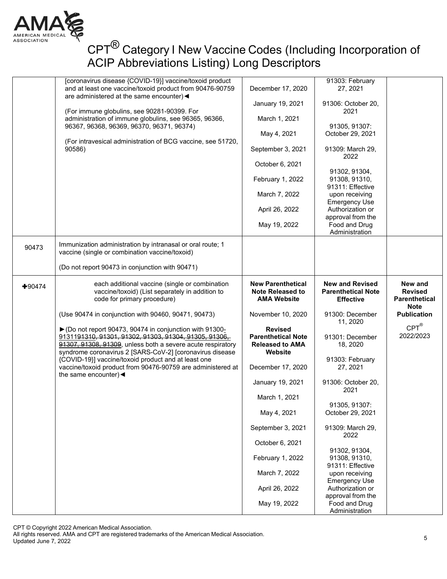

|          | [coronavirus disease {COVID-19}] vaccine/toxoid product<br>and at least one vaccine/toxoid product from 90476-90759<br>are administered at the same encounter) <                                                                             | December 17, 2020                                                                | 91303: February<br>27, 2021                                   |                                   |
|----------|----------------------------------------------------------------------------------------------------------------------------------------------------------------------------------------------------------------------------------------------|----------------------------------------------------------------------------------|---------------------------------------------------------------|-----------------------------------|
|          | (For immune globulins, see 90281-90399. For                                                                                                                                                                                                  | January 19, 2021                                                                 | 91306: October 20,<br>2021                                    |                                   |
|          | administration of immune globulins, see 96365, 96366,                                                                                                                                                                                        | March 1, 2021                                                                    |                                                               |                                   |
|          | 96367, 96368, 96369, 96370, 96371, 96374)                                                                                                                                                                                                    | May 4, 2021                                                                      | 91305, 91307:<br>October 29, 2021                             |                                   |
|          | (For intravesical administration of BCG vaccine, see 51720,<br>90586)                                                                                                                                                                        | September 3, 2021                                                                | 91309: March 29,                                              |                                   |
|          |                                                                                                                                                                                                                                              |                                                                                  | 2022                                                          |                                   |
|          |                                                                                                                                                                                                                                              | October 6, 2021                                                                  | 91302, 91304,                                                 |                                   |
|          |                                                                                                                                                                                                                                              | February 1, 2022                                                                 | 91308, 91310,<br>91311: Effective                             |                                   |
|          |                                                                                                                                                                                                                                              | March 7, 2022                                                                    | upon receiving                                                |                                   |
|          |                                                                                                                                                                                                                                              | April 26, 2022                                                                   | <b>Emergency Use</b><br>Authorization or                      |                                   |
|          |                                                                                                                                                                                                                                              | May 19, 2022                                                                     | approval from the<br>Food and Drug                            |                                   |
|          |                                                                                                                                                                                                                                              |                                                                                  | Administration                                                |                                   |
| 90473    | Immunization administration by intranasal or oral route; 1<br>vaccine (single or combination vaccine/toxoid)                                                                                                                                 |                                                                                  |                                                               |                                   |
|          | (Do not report 90473 in conjunction with 90471)                                                                                                                                                                                              |                                                                                  |                                                               |                                   |
| $+90474$ | each additional vaccine (single or combination<br>vaccine/toxoid) (List separately in addition to                                                                                                                                            | <b>New Parenthetical</b><br><b>Note Released to</b>                              | <b>New and Revised</b><br><b>Parenthetical Note</b>           | New and<br><b>Revised</b>         |
|          | code for primary procedure)                                                                                                                                                                                                                  | <b>AMA Website</b>                                                               | <b>Effective</b>                                              | <b>Parenthetical</b>              |
|          | (Use 90474 in conjunction with 90460, 90471, 90473)                                                                                                                                                                                          | November 10, 2020                                                                | 91300: December                                               | <b>Note</b><br><b>Publication</b> |
|          | ▶ (Do not report 90473, 90474 in conjunction with 91300-<br>9131191310, 91301, 91302, 91303, 91304, 91305, 91306,<br>91307, 91308, 91309, unless both a severe acute respiratory<br>syndrome coronavirus 2 [SARS-CoV-2] [coronavirus disease | <b>Revised</b><br><b>Parenthetical Note</b><br><b>Released to AMA</b><br>Website | 11, 2020<br>91301: December<br>18, 2020                       | $CPT^@$<br>2022/2023              |
|          | {COVID-19}] vaccine/toxoid product and at least one<br>vaccine/toxoid product from 90476-90759 are administered at                                                                                                                           | December 17, 2020                                                                | 91303: February<br>27, 2021                                   |                                   |
|          | the same encounter) $\blacktriangleleft$                                                                                                                                                                                                     | January 19, 2021                                                                 | 91306: October 20,                                            |                                   |
|          |                                                                                                                                                                                                                                              | March 1, 2021                                                                    | 2021                                                          |                                   |
|          |                                                                                                                                                                                                                                              | May 4, 2021                                                                      | 91305, 91307:<br>October 29, 2021                             |                                   |
|          |                                                                                                                                                                                                                                              | September 3, 2021                                                                | 91309: March 29,<br>2022                                      |                                   |
|          |                                                                                                                                                                                                                                              | October 6, 2021                                                                  |                                                               |                                   |
|          |                                                                                                                                                                                                                                              | February 1, 2022                                                                 | 91302, 91304,<br>91308, 91310,<br>91311: Effective            |                                   |
|          |                                                                                                                                                                                                                                              | March 7, 2022                                                                    | upon receiving                                                |                                   |
|          |                                                                                                                                                                                                                                              | April 26, 2022                                                                   | <b>Emergency Use</b><br>Authorization or<br>approval from the |                                   |

CPT © Copyright 2022 American Medical Association.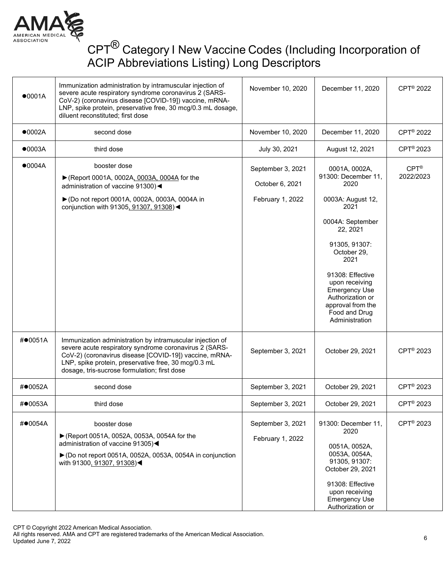

| •0001A  | Immunization administration by intramuscular injection of<br>severe acute respiratory syndrome coronavirus 2 (SARS-<br>CoV-2) (coronavirus disease [COVID-19]) vaccine, mRNA-<br>LNP, spike protein, preservative free, 30 mcg/0.3 mL dosage,<br>diluent reconstituted; first dose    | November 10, 2020                                        | December 11, 2020                                                                                                                                                                                                                                                                           | CPT <sup>®</sup> 2022        |
|---------|---------------------------------------------------------------------------------------------------------------------------------------------------------------------------------------------------------------------------------------------------------------------------------------|----------------------------------------------------------|---------------------------------------------------------------------------------------------------------------------------------------------------------------------------------------------------------------------------------------------------------------------------------------------|------------------------------|
| •0002A  | second dose                                                                                                                                                                                                                                                                           | November 10, 2020                                        | December 11, 2020                                                                                                                                                                                                                                                                           | CPT <sup>®</sup> 2022        |
| •0003A  | third dose                                                                                                                                                                                                                                                                            | July 30, 2021                                            | August 12, 2021                                                                                                                                                                                                                                                                             | CPT <sup>®</sup> 2023        |
| •0004A  | booster dose<br>▶ (Report 0001A, 0002A, 0003A, 0004A for the<br>administration of vaccine 91300)<<br>▶ (Do not report 0001A, 0002A, 0003A, 0004A in<br>conjunction with 91305, 91307, 91308) <                                                                                        | September 3, 2021<br>October 6, 2021<br>February 1, 2022 | 0001A, 0002A,<br>91300: December 11,<br>2020<br>0003A: August 12,<br>2021<br>0004A: September<br>22, 2021<br>91305, 91307:<br>October 29,<br>2021<br>91308: Effective<br>upon receiving<br><b>Emergency Use</b><br>Authorization or<br>approval from the<br>Food and Drug<br>Administration | $CPT^{\otimes}$<br>2022/2023 |
| #●0051A | Immunization administration by intramuscular injection of<br>severe acute respiratory syndrome coronavirus 2 (SARS-<br>CoV-2) (coronavirus disease [COVID-19]) vaccine, mRNA-<br>LNP, spike protein, preservative free, 30 mcg/0.3 mL<br>dosage, tris-sucrose formulation; first dose | September 3, 2021                                        | October 29, 2021                                                                                                                                                                                                                                                                            | CPT <sup>®</sup> 2023        |
| #●0052A | second dose                                                                                                                                                                                                                                                                           | September 3, 2021                                        | October 29, 2021                                                                                                                                                                                                                                                                            | CPT <sup>®</sup> 2023        |
| #●0053A | third dose                                                                                                                                                                                                                                                                            | September 3, 2021                                        | October 29, 2021                                                                                                                                                                                                                                                                            | CPT <sup>®</sup> 2023        |
| #●0054A | booster dose<br>► (Report 0051A, 0052A, 0053A, 0054A for the<br>administration of vaccine 91305)<<br>$\triangleright$ (Do not report 0051A, 0052A, 0053A, 0054A in conjunction<br>with 91300, 91307, 91308)<                                                                          | September 3, 2021<br>February 1, 2022                    | 91300: December 11,<br>2020<br>0051A, 0052A,<br>0053A, 0054A,<br>91305, 91307:<br>October 29, 2021<br>91308: Effective<br>upon receiving<br><b>Emergency Use</b><br>Authorization or                                                                                                        | CPT <sup>®</sup> 2023        |

CPT © Copyright 2022 American Medical Association.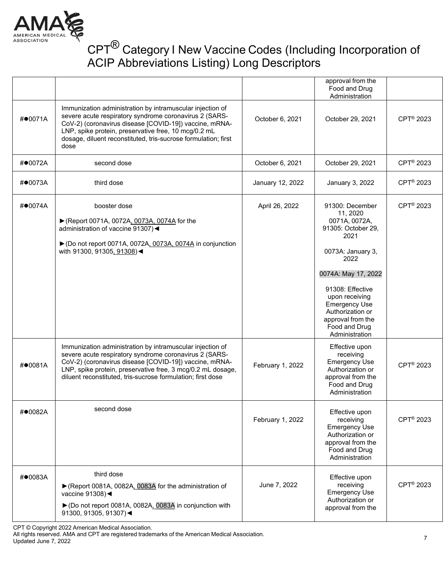

|            |                                                                                                                                                                                                                                                                                                                 |                  | approval from the<br>Food and Drug<br>Administration                                                                                                                                                                                  |                       |
|------------|-----------------------------------------------------------------------------------------------------------------------------------------------------------------------------------------------------------------------------------------------------------------------------------------------------------------|------------------|---------------------------------------------------------------------------------------------------------------------------------------------------------------------------------------------------------------------------------------|-----------------------|
| # $•0071A$ | Immunization administration by intramuscular injection of<br>severe acute respiratory syndrome coronavirus 2 (SARS-<br>CoV-2) (coronavirus disease [COVID-19]) vaccine, mRNA-<br>LNP, spike protein, preservative free, 10 mcg/0.2 mL<br>dosage, diluent reconstituted, tris-sucrose formulation; first<br>dose | October 6, 2021  | October 29, 2021                                                                                                                                                                                                                      | CPT <sup>®</sup> 2023 |
| #●0072A    | second dose                                                                                                                                                                                                                                                                                                     | October 6, 2021  | October 29, 2021                                                                                                                                                                                                                      | CPT <sup>®</sup> 2023 |
| #●0073A    | third dose                                                                                                                                                                                                                                                                                                      | January 12, 2022 | January 3, 2022                                                                                                                                                                                                                       | CPT <sup>®</sup> 2023 |
| #●0074A    | booster dose<br>▶ (Report 0071A, 0072A, 0073A, 0074A for the<br>administration of vaccine 91307)<<br>▶ (Do not report 0071A, 0072A, 0073A, 0074A in conjunction<br>with 91300, 91305, 91308)<                                                                                                                   | April 26, 2022   | 91300: December<br>11, 2020<br>0071A, 0072A,<br>91305: October 29,<br>2021<br>0073A: January 3,<br>2022<br>0074A: May 17, 2022<br>91308: Effective<br>upon receiving<br><b>Emergency Use</b><br>Authorization or<br>approval from the | CPT <sup>®</sup> 2023 |
|            |                                                                                                                                                                                                                                                                                                                 |                  | Food and Drug<br>Administration                                                                                                                                                                                                       |                       |
| #●0081A    | Immunization administration by intramuscular injection of<br>severe acute respiratory syndrome coronavirus 2 (SARS-<br>CoV-2) (coronavirus disease [COVID-19]) vaccine, mRNA-<br>LNP, spike protein, preservative free, 3 mcg/0.2 mL dosage,<br>diluent reconstituted, tris-sucrose formulation; first dose     | February 1, 2022 | Effective upon<br>receiving<br><b>Emergency Use</b><br>Authorization or<br>approval from the<br>Food and Drug<br>Administration                                                                                                       | CPT <sup>®</sup> 2023 |
| #●0082A    | second dose                                                                                                                                                                                                                                                                                                     | February 1, 2022 | Effective upon<br>receiving<br><b>Emergency Use</b><br>Authorization or<br>approval from the<br>Food and Drug<br>Administration                                                                                                       | CPT <sup>®</sup> 2023 |
| $\#$ 0083A | third dose<br>▶ (Report 0081A, 0082A, 0083A for the administration of<br>vaccine 91308)<<br>▶ (Do not report 0081A, 0082A, 0083A in conjunction with<br>91300, 91305, 91307)                                                                                                                                    | June 7, 2022     | Effective upon<br>receiving<br><b>Emergency Use</b><br>Authorization or<br>approval from the                                                                                                                                          | CPT <sup>®</sup> 2023 |

CPT © Copyright 2022 American Medical Association.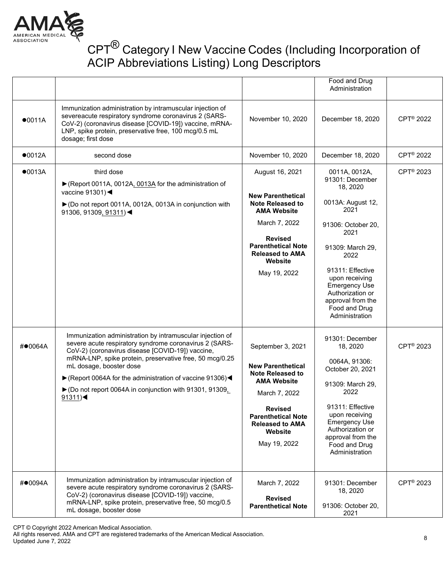

|         |                                                                                                                                                                                                                                                                                                                                                                                                    |                                                                                                                                                                                                                     | Food and Drug<br>Administration                                                                                                                                                                                                                                               |                       |
|---------|----------------------------------------------------------------------------------------------------------------------------------------------------------------------------------------------------------------------------------------------------------------------------------------------------------------------------------------------------------------------------------------------------|---------------------------------------------------------------------------------------------------------------------------------------------------------------------------------------------------------------------|-------------------------------------------------------------------------------------------------------------------------------------------------------------------------------------------------------------------------------------------------------------------------------|-----------------------|
| •0011A  | Immunization administration by intramuscular injection of<br>severeacute respiratory syndrome coronavirus 2 (SARS-<br>CoV-2) (coronavirus disease [COVID-19]) vaccine, mRNA-<br>LNP, spike protein, preservative free, 100 mcg/0.5 mL<br>dosage; first dose                                                                                                                                        | November 10, 2020                                                                                                                                                                                                   | December 18, 2020                                                                                                                                                                                                                                                             | CPT <sup>®</sup> 2022 |
| •0012A  | second dose                                                                                                                                                                                                                                                                                                                                                                                        | November 10, 2020                                                                                                                                                                                                   | December 18, 2020                                                                                                                                                                                                                                                             | CPT <sup>®</sup> 2022 |
| •0013A  | third dose<br>▶ (Report 0011A, 0012A, 0013A for the administration of<br>vaccine $91301$ )<br>▶ (Do not report 0011A, 0012A, 0013A in conjunction with<br>91306, 91309, 91311) <                                                                                                                                                                                                                   | August 16, 2021<br><b>New Parenthetical</b><br><b>Note Released to</b><br><b>AMA Website</b><br>March 7, 2022<br><b>Revised</b><br><b>Parenthetical Note</b><br><b>Released to AMA</b><br>Website<br>May 19, 2022   | 0011A, 0012A,<br>91301: December<br>18, 2020<br>0013A: August 12,<br>2021<br>91306: October 20,<br>2021<br>91309: March 29,<br>2022<br>91311: Effective<br>upon receiving<br><b>Emergency Use</b><br>Authorization or<br>approval from the<br>Food and Drug<br>Administration | CPT <sup>®</sup> 2023 |
| #●0064A | Immunization administration by intramuscular injection of<br>severe acute respiratory syndrome coronavirus 2 (SARS-<br>CoV-2) (coronavirus disease [COVID-19]) vaccine,<br>mRNA-LNP, spike protein, preservative free, 50 mcg/0.25<br>mL dosage, booster dose<br>▶ (Report 0064A for the administration of vaccine 91306)<br>▶ (Do not report 0064A in conjunction with 91301, 91309,<br>$91311$ ) | September 3, 2021<br><b>New Parenthetical</b><br><b>Note Released to</b><br><b>AMA Website</b><br>March 7, 2022<br><b>Revised</b><br><b>Parenthetical Note</b><br><b>Released to AMA</b><br>Website<br>May 19, 2022 | 91301: December<br>18, 2020<br>0064A, 91306:<br>October 20, 2021<br>91309: March 29,<br>2022<br>91311: Effective<br>upon receiving<br><b>Emergency Use</b><br>Authorization or<br>approval from the<br>Food and Drug<br>Administration                                        | CPT <sup>®</sup> 2023 |
| #●0094A | Immunization administration by intramuscular injection of<br>severe acute respiratory syndrome coronavirus 2 (SARS-<br>CoV-2) (coronavirus disease [COVID-19]) vaccine,<br>mRNA-LNP, spike protein, preservative free, 50 mcg/0.5<br>mL dosage, booster dose                                                                                                                                       | March 7, 2022<br><b>Revised</b><br><b>Parenthetical Note</b>                                                                                                                                                        | 91301: December<br>18, 2020<br>91306: October 20,<br>2021                                                                                                                                                                                                                     | CPT <sup>®</sup> 2023 |

CPT © Copyright 2022 American Medical Association.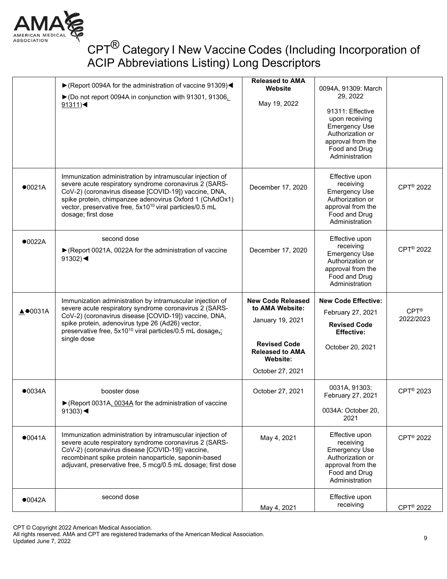

|                             | ▶ (Report 0094A for the administration of vaccine 91309)<<br>▶ (Do not report 0094A in conjunction with 91301, 91306,<br>$91311$ )                                                                                                                                                                                                    | <b>Released to AMA</b><br>Website<br>May 19, 2022                                                                           | 0094A, 91309: March<br>29, 2022<br>91311: Effective<br>upon receiving<br><b>Emergency Use</b><br>Authorization or<br>approval from the<br>Food and Drug<br>Administration |                                |
|-----------------------------|---------------------------------------------------------------------------------------------------------------------------------------------------------------------------------------------------------------------------------------------------------------------------------------------------------------------------------------|-----------------------------------------------------------------------------------------------------------------------------|---------------------------------------------------------------------------------------------------------------------------------------------------------------------------|--------------------------------|
| •0021A                      | Immunization administration by intramuscular injection of<br>severe acute respiratory syndrome coronavirus 2 (SARS-<br>CoV-2) (coronavirus disease [COVID-19]) vaccine, DNA,<br>spike protein, chimpanzee adenovirus Oxford 1 (ChAdOx1)<br>vector, preservative free, 5x10 <sup>10</sup> viral particles/0.5 mL<br>dosage; first dose | December 17, 2020                                                                                                           | Effective upon<br>receiving<br><b>Emergency Use</b><br>Authorization or<br>approval from the<br>Food and Drug<br>Administration                                           | CPT <sup>®</sup> 2022          |
| •0022A                      | second dose<br>▶ (Report 0021A, 0022A for the administration of vaccine<br>91302) $\blacktriangleleft$                                                                                                                                                                                                                                | December 17, 2020                                                                                                           | Effective upon<br>receiving<br><b>Emergency Use</b><br>Authorization or<br>approval from the<br>Food and Drug<br>Administration                                           | CPT <sup>®</sup> 2022          |
|                             | Immunization administration by intramuscular injection of                                                                                                                                                                                                                                                                             | <b>New Code Released</b>                                                                                                    |                                                                                                                                                                           |                                |
| $\triangle$ $\bullet$ 0031A | severe acute respiratory syndrome coronavirus 2 (SARS-<br>CoV-2) (coronavirus disease [COVID-19]) vaccine, DNA,<br>spike protein, adenovirus type 26 (Ad26) vector,<br>preservative free, 5x10 <sup>10</sup> viral particles/0.5 mL dosage <sub>7</sub> ;<br>single dose                                                              | to AMA Website:<br>January 19, 2021<br><b>Revised Code</b><br><b>Released to AMA</b><br><b>Website:</b><br>October 27, 2021 | <b>New Code Effective:</b><br>February 27, 2021<br><b>Revised Code</b><br><b>Effective:</b><br>October 20, 2021                                                           | $CPT^{\circledR}$<br>2022/2023 |
| •0034A                      | booster dose<br>▶ (Report 0031A, 0034A for the administration of vaccine<br>91303) $\blacktriangleleft$                                                                                                                                                                                                                               | October 27, 2021                                                                                                            | 0031A, 91303:<br>February 27, 2021<br>0034A: October 20,<br>2021                                                                                                          | CPT <sup>®</sup> 2023          |
| •0041A                      | Immunization administration by intramuscular injection of<br>severe acute respiratory syndrome coronavirus 2 (SARS-<br>CoV-2) (coronavirus disease [COVID-19]) vaccine,<br>recombinant spike protein nanoparticle, saponin-based<br>adjuvant, preservative free, 5 mcg/0.5 mL dosage; first dose                                      | May 4, 2021                                                                                                                 | Effective upon<br>receiving<br><b>Emergency Use</b><br>Authorization or<br>approval from the<br>Food and Drug<br>Administration                                           | CPT <sup>®</sup> 2022          |

CPT © Copyright 2022 American Medical Association.

All rights reserved. AMA and CPT are registered trademarks of the American Medical Association.

Updated June 7, 2022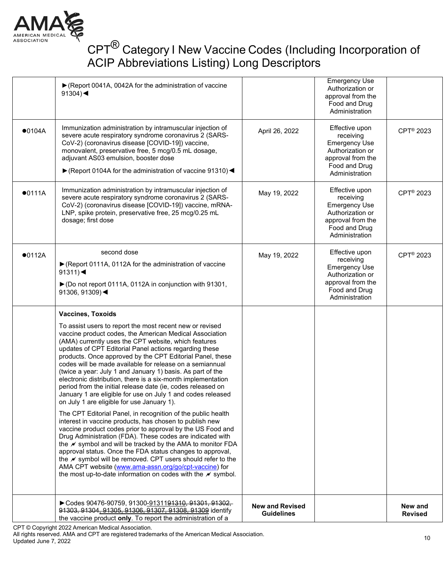

|        | Codes 90476-90759, 91300-9131191310, 91301, 91302,<br>91303, 91304, 91305, 91306, 91307, 91308, 91309 identify<br>the vaccine product only. To report the administration of a                                                                                                                                                                                                                                                                                                                                                                                                                                                                                                                                                                                                                                                                                                                                                                                                                                                                                                                                                                                                                                                                                                                                    | <b>New and Revised</b><br><b>Guidelines</b> |                                                                                                                                 | New and<br><b>Revised</b> |
|--------|------------------------------------------------------------------------------------------------------------------------------------------------------------------------------------------------------------------------------------------------------------------------------------------------------------------------------------------------------------------------------------------------------------------------------------------------------------------------------------------------------------------------------------------------------------------------------------------------------------------------------------------------------------------------------------------------------------------------------------------------------------------------------------------------------------------------------------------------------------------------------------------------------------------------------------------------------------------------------------------------------------------------------------------------------------------------------------------------------------------------------------------------------------------------------------------------------------------------------------------------------------------------------------------------------------------|---------------------------------------------|---------------------------------------------------------------------------------------------------------------------------------|---------------------------|
|        | <b>Vaccines, Toxoids</b><br>To assist users to report the most recent new or revised<br>vaccine product codes, the American Medical Association<br>(AMA) currently uses the CPT website, which features<br>updates of CPT Editorial Panel actions regarding these<br>products. Once approved by the CPT Editorial Panel, these<br>codes will be made available for release on a semiannual<br>(twice a year: July 1 and January 1) basis. As part of the<br>electronic distribution, there is a six-month implementation<br>period from the initial release date (ie, codes released on<br>January 1 are eligible for use on July 1 and codes released<br>on July 1 are eligible for use January 1).<br>The CPT Editorial Panel, in recognition of the public health<br>interest in vaccine products, has chosen to publish new<br>vaccine product codes prior to approval by the US Food and<br>Drug Administration (FDA). These codes are indicated with<br>the <i>N</i> symbol and will be tracked by the AMA to monitor FDA<br>approval status. Once the FDA status changes to approval,<br>the $\not\!\!\!\!\!\nu$ symbol will be removed. CPT users should refer to the<br>AMA CPT website (www.ama-assn.org/go/cpt-vaccine) for<br>the most up-to-date information on codes with the $\mathcal N$ symbol. |                                             |                                                                                                                                 |                           |
| •0112A | second dose<br>▶ (Report 0111A, 0112A for the administration of vaccine<br>$91311$ )<br>► (Do not report 0111A, 0112A in conjunction with 91301,<br>91306, 91309) $\blacktriangleleft$                                                                                                                                                                                                                                                                                                                                                                                                                                                                                                                                                                                                                                                                                                                                                                                                                                                                                                                                                                                                                                                                                                                           | May 19, 2022                                | Effective upon<br>receiving<br><b>Emergency Use</b><br>Authorization or<br>approval from the<br>Food and Drug<br>Administration | CPT <sup>®</sup> 2023     |
| •0111A | Immunization administration by intramuscular injection of<br>severe acute respiratory syndrome coronavirus 2 (SARS-<br>CoV-2) (coronavirus disease [COVID-19]) vaccine, mRNA-<br>LNP, spike protein, preservative free, 25 mcg/0.25 mL<br>dosage; first dose                                                                                                                                                                                                                                                                                                                                                                                                                                                                                                                                                                                                                                                                                                                                                                                                                                                                                                                                                                                                                                                     | May 19, 2022                                | Effective upon<br>receiving<br><b>Emergency Use</b><br>Authorization or<br>approval from the<br>Food and Drug<br>Administration | CPT <sup>®</sup> 2023     |
| •0104A | Immunization administration by intramuscular injection of<br>severe acute respiratory syndrome coronavirus 2 (SARS-<br>CoV-2) (coronavirus disease [COVID-19]) vaccine,<br>monovalent, preservative free, 5 mcg/0.5 mL dosage,<br>adjuvant AS03 emulsion, booster dose<br>▶ (Report 0104A for the administration of vaccine 91310) <                                                                                                                                                                                                                                                                                                                                                                                                                                                                                                                                                                                                                                                                                                                                                                                                                                                                                                                                                                             | April 26, 2022                              | Effective upon<br>receiving<br><b>Emergency Use</b><br>Authorization or<br>approval from the<br>Food and Drug<br>Administration | CPT <sup>®</sup> 2023     |
|        | ▶ (Report 0041A, 0042A for the administration of vaccine<br>91304) $\blacktriangleleft$                                                                                                                                                                                                                                                                                                                                                                                                                                                                                                                                                                                                                                                                                                                                                                                                                                                                                                                                                                                                                                                                                                                                                                                                                          |                                             | <b>Emergency Use</b><br>Authorization or<br>approval from the<br>Food and Drug<br>Administration                                |                           |

CPT © Copyright 2022 American Medical Association.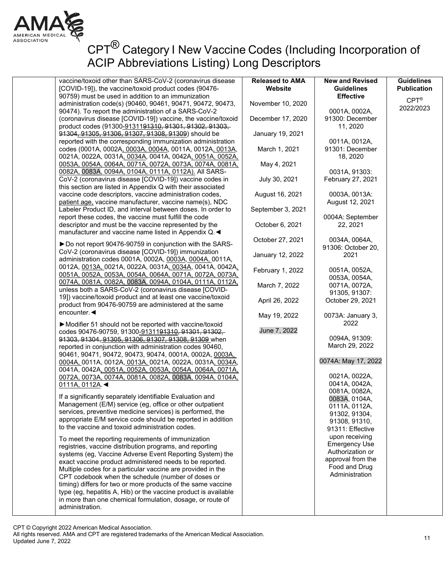

# CPT<sup>®</sup> Category I New Vaccine Codes (Including Incorporation of ACIP Abbreviations Listing) Long Descriptors

| vaccine/toxoid other than SARS-CoV-2 (coronavirus disease<br>[COVID-19]), the vaccine/toxoid product codes (90476-<br>90759) must be used in addition to an immunization   | <b>Released to AMA</b><br>Website    | <b>New and Revised</b><br><b>Guidelines</b><br><b>Effective</b> |
|----------------------------------------------------------------------------------------------------------------------------------------------------------------------------|--------------------------------------|-----------------------------------------------------------------|
| administration code(s) (90460, 90461, 90471, 90472, 90473,                                                                                                                 | November 10, 2020                    |                                                                 |
| 90474). To report the administration of a SARS-CoV-2                                                                                                                       |                                      | 0001A, 0002A,                                                   |
| (coronavirus disease [COVID-19]) vaccine, the vaccine/toxoid<br>product codes (91300-9131191310, 91301, 91302, 91303,                                                      | December 17, 2020                    | 91300: December<br>11, 2020                                     |
| 91304, 91305, 91306, 91307, 91308, 91309) should be                                                                                                                        | January 19, 2021                     |                                                                 |
| reported with the corresponding immunization administration<br>codes (0001A, 0002A, 0003A, 0004A, 0011A, 0012A, 0013A,                                                     | March 1, 2021                        | 0011A, 0012A,<br>91301: December                                |
| 0021A, 0022A, 0031A, 0034A, 0041A, 0042A, 0051A, 0052A,<br>0053A, 0054A, 0064A, 0071A, 0072A, 0073A, 0074A, 0081A,<br>0082A, 0083A, 0094A, 0104A, 0111A, 0112A). All SARS- | May 4, 2021                          | 18, 2020<br>0031A, 91303:                                       |
| CoV-2 (coronavirus disease [COVID-19]) vaccine codes in<br>this section are listed in Appendix Q with their associated                                                     | July 30, 2021                        | February 27, 2021                                               |
| vaccine code descriptors, vaccine administration codes,<br>patient age, vaccine manufacturer, vaccine name(s), NDC                                                         | August 16, 2021                      | 0003A, 0013A:<br>August 12, 2021                                |
| Labeler Product ID, and interval between doses. In order to                                                                                                                | September 3, 2021                    |                                                                 |
| report these codes, the vaccine must fulfill the code                                                                                                                      |                                      | 0004A: September                                                |
| descriptor and must be the vaccine represented by the<br>manufacturer and vaccine name listed in Appendix Q.                                                               | October 6, 2021                      | 22, 2021                                                        |
| ► Do not report 90476-90759 in conjunction with the SARS-<br>CoV-2 (coronavirus disease [COVID-19]) immunization                                                           | October 27, 2021                     | 0034A, 0064A,<br>91306: October 20,                             |
| administration codes 0001A, 0002A, 0003A, 0004A, 0011A,<br>0012A, 0013A, 0021A, 0022A, 0031A, 0034A, 0041A, 0042A,                                                         | January 12, 2022<br>February 1, 2022 | 2021                                                            |
| 0051A, 0052A, 0053A, 0054A, 0064A, 0071A, 0072A, 0073A,<br>0074A, 0081A, 0082A, 0083A, 0094A, 0104A, 0111A, 0112A,                                                         | March 7, 2022                        | 0051A, 0052A,<br>0053A, 0054A,<br>0071A, 0072A,                 |
| unless both a SARS-CoV-2 (coronavirus disease [COVID-<br>19]) vaccine/toxoid product and at least one vaccine/toxoid                                                       | April 26, 2022                       | 91305, 91307:<br>October 29, 2021                               |
| product from 90476-90759 are administered at the same<br>encounter. ◀                                                                                                      | May 19, 2022                         | 0073A: January 3,                                               |
| Modifier 51 should not be reported with vaccine/toxoid<br>codes 90476-90759, 91300-9131191310, 91301, 91302,                                                               | June 7, 2022                         | 2022                                                            |
| 91303, 91304, 91305, 91306, 91307, 91308, 91309 when<br>reported in conjunction with administration codes 90460,                                                           |                                      | 0094A, 91309:<br>March 29, 2022                                 |
| 90461, 90471, 90472, 90473, 90474, 0001A, 0002A, 0003A,<br>0004A, 0011A, 0012A, 0013A, 0021A, 0022A, 0031A, 0034A,                                                         |                                      | 0074A: May 17, 2022                                             |
| 0041A, 0042A, 0051A, 0052A, 0053A, 0054A, 0064A, 0071A,                                                                                                                    |                                      | 0021A, 0022A,                                                   |
| 0072A, 0073A, 0074A, 0081A, 0082A, 0083A, 0094A, 0104A,<br>0111A, 0112A.                                                                                                   |                                      | 0041A, 0042A,                                                   |
|                                                                                                                                                                            |                                      | 0081A, 0082A,                                                   |
| If a significantly separately identifiable Evaluation and                                                                                                                  |                                      | 0083A, 0104A,                                                   |
| Management (E/M) service (eg, office or other outpatient                                                                                                                   |                                      | 0111A, 0112A,                                                   |
| services, preventive medicine services) is performed, the                                                                                                                  |                                      | 91302, 91304,                                                   |
| appropriate E/M service code should be reported in addition<br>to the vaccine and toxoid administration codes.                                                             |                                      | 91308, 91310,<br>91311: Effective                               |
| To meet the reporting requirements of immunization                                                                                                                         |                                      | upon receiving<br><b>Emergency Use</b>                          |
| registries, vaccine distribution programs, and reporting                                                                                                                   |                                      | Authorization or                                                |
| systems (eg, Vaccine Adverse Event Reporting System) the                                                                                                                   |                                      | approval from the                                               |
| exact vaccine product administered needs to be reported.<br>Multiple codes for a particular vaccine are provided in the                                                    |                                      | Food and Drug                                                   |
| CPT codebook when the schedule (number of doses or                                                                                                                         |                                      | Administration                                                  |
| timing) differs for two or more products of the same vaccine                                                                                                               |                                      |                                                                 |
| type (eg, hepatitis A, Hib) or the vaccine product is available                                                                                                            |                                      |                                                                 |
| in more than one chemical formulation, dosage, or route of                                                                                                                 |                                      |                                                                 |
| administration.                                                                                                                                                            |                                      |                                                                 |

**Guidelines Publication** CPT® 2022/2023

CPT © Copyright 2022 American Medical Association.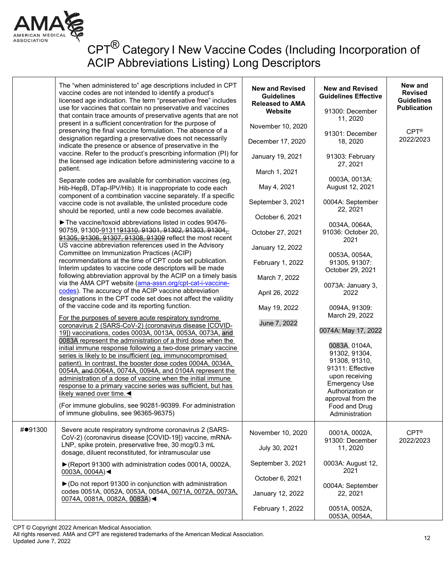

| response to a primary vaccine series was sufficient, but has<br>Authorization or<br>likely waned over time. $\blacktriangleleft$<br>approval from the<br>(For immune globulins, see 90281-90399. For administration<br>Food and Drug<br>of immune globulins, see 96365-96375)<br>Administration<br>#●91300<br>Severe acute respiratory syndrome coronavirus 2 (SARS-<br>$CPT^{\circledR}$<br>November 10, 2020<br>0001A, 0002A,<br>CoV-2) (coronavirus disease [COVID-19]) vaccine, mRNA-<br>91300: December<br>LNP, spike protein, preservative free, 30 mcg/0.3 mL<br>July 30, 2021<br>11, 2020<br>dosage, diluent reconstituted, for intramuscular use | The "when administered to" age descriptions included in CPT<br>vaccine codes are not intended to identify a product's<br>licensed age indication. The term "preservative free" includes<br>use for vaccines that contain no preservative and vaccines<br>that contain trace amounts of preservative agents that are not<br>present in a sufficient concentration for the purpose of<br>preserving the final vaccine formulation. The absence of a<br>designation regarding a preservative does not necessarily<br>indicate the presence or absence of preservative in the<br>vaccine. Refer to the product's prescribing information (PI) for<br>the licensed age indication before administering vaccine to a<br>patient.<br>Separate codes are available for combination vaccines (eg,<br>Hib-HepB, DTap-IPV/Hib). It is inappropriate to code each<br>component of a combination vaccine separately. If a specific<br>vaccine code is not available, the unlisted procedure code<br>should be reported, until a new code becomes available.<br>The vaccine/toxoid abbreviations listed in codes 90476-<br>90759, 91300-91311 <del>91310, 91301, 91302, 91303, 91304,</del><br>91305, 91306, 91307, 91308, 91309 reflect the most recent<br>US vaccine abbreviation references used in the Advisory<br>Committee on Immunization Practices (ACIP)<br>recommendations at the time of CPT code set publication.<br>Interim updates to vaccine code descriptors will be made<br>following abbreviation approval by the ACIP on a timely basis<br>via the AMA CPT website (ama-assn.org/cpt-cat-i-vaccine-<br>codes). The accuracy of the ACIP vaccine abbreviation<br>designations in the CPT code set does not affect the validity<br>of the vaccine code and its reporting function.<br>For the purposes of severe acute respiratory syndrome<br>coronavirus 2 (SARS-CoV-2) (coronavirus disease [COVID-<br>19]) vaccinations, codes 0003A, 0013A, 0053A, 0073A, and<br>0083A represent the administration of a third dose when the<br>initial immune response following a two-dose primary vaccine<br>series is likely to be insufficient (eg, immunocompromised<br>patient). In contrast, the booster dose codes 0004A, 0034A,<br>0054A, and 0064A, 0074A, 0094A, and 0104A represent the | <b>New and Revised</b><br><b>Guidelines</b><br><b>Released to AMA</b><br>Website<br>November 10, 2020<br>December 17, 2020<br>January 19, 2021<br>March 1, 2021<br>May 4, 2021<br>September 3, 2021<br>October 6, 2021<br>October 27, 2021<br>January 12, 2022<br>February 1, 2022<br>March 7, 2022<br>April 26, 2022<br>May 19, 2022<br>June 7, 2022 | <b>New and Revised</b><br><b>Guidelines Effective</b><br>91300: December<br>11, 2020<br>91301: December<br>18, 2020<br>91303: February<br>27.2021<br>0003A, 0013A:<br>August 12, 2021<br>0004A: September<br>22, 2021<br>0034A, 0064A,<br>91036: October 20,<br>2021<br>0053A, 0054A,<br>91305, 91307:<br>October 29, 2021<br>0073A: January 3,<br>2022<br>0094A, 91309:<br>March 29, 2022<br>0074A: May 17, 2022<br>0083A, 0104A,<br>91302, 91304,<br>91308, 91310,<br>91311: Effective<br>upon receiving | New and<br><b>Revised</b><br><b>Guidelines</b><br><b>Publication</b><br>$CPT^{\circledR}$<br>2022/2023 |
|-----------------------------------------------------------------------------------------------------------------------------------------------------------------------------------------------------------------------------------------------------------------------------------------------------------------------------------------------------------------------------------------------------------------------------------------------------------------------------------------------------------------------------------------------------------------------------------------------------------------------------------------------------------|----------------------------------------------------------------------------------------------------------------------------------------------------------------------------------------------------------------------------------------------------------------------------------------------------------------------------------------------------------------------------------------------------------------------------------------------------------------------------------------------------------------------------------------------------------------------------------------------------------------------------------------------------------------------------------------------------------------------------------------------------------------------------------------------------------------------------------------------------------------------------------------------------------------------------------------------------------------------------------------------------------------------------------------------------------------------------------------------------------------------------------------------------------------------------------------------------------------------------------------------------------------------------------------------------------------------------------------------------------------------------------------------------------------------------------------------------------------------------------------------------------------------------------------------------------------------------------------------------------------------------------------------------------------------------------------------------------------------------------------------------------------------------------------------------------------------------------------------------------------------------------------------------------------------------------------------------------------------------------------------------------------------------------------------------------------------------------------------------------------------------------------------------------------------------------------------------------------------------------------------------------------------------------------------|-------------------------------------------------------------------------------------------------------------------------------------------------------------------------------------------------------------------------------------------------------------------------------------------------------------------------------------------------------|------------------------------------------------------------------------------------------------------------------------------------------------------------------------------------------------------------------------------------------------------------------------------------------------------------------------------------------------------------------------------------------------------------------------------------------------------------------------------------------------------------|--------------------------------------------------------------------------------------------------------|
|                                                                                                                                                                                                                                                                                                                                                                                                                                                                                                                                                                                                                                                           | administration of a dose of vaccine when the initial immune                                                                                                                                                                                                                                                                                                                                                                                                                                                                                                                                                                                                                                                                                                                                                                                                                                                                                                                                                                                                                                                                                                                                                                                                                                                                                                                                                                                                                                                                                                                                                                                                                                                                                                                                                                                                                                                                                                                                                                                                                                                                                                                                                                                                                                  |                                                                                                                                                                                                                                                                                                                                                       | <b>Emergency Use</b>                                                                                                                                                                                                                                                                                                                                                                                                                                                                                       |                                                                                                        |
| ▶ (Report 91300 with administration codes 0001A, 0002A,<br>2021<br>0003A, 0004A)<<br>October 6, 2021<br>▶ (Do not report 91300 in conjunction with administration<br>0004A: September<br>codes 0051A, 0052A, 0053A, 0054A, 0071A, 0072A, 0073A,<br>January 12, 2022<br>22, 2021<br>0074A, 0081A, 0082A, 0083A)<<br>February 1, 2022<br>0051A, 0052A,<br>0053A, 0054A,                                                                                                                                                                                                                                                                                     |                                                                                                                                                                                                                                                                                                                                                                                                                                                                                                                                                                                                                                                                                                                                                                                                                                                                                                                                                                                                                                                                                                                                                                                                                                                                                                                                                                                                                                                                                                                                                                                                                                                                                                                                                                                                                                                                                                                                                                                                                                                                                                                                                                                                                                                                                              | September 3, 2021                                                                                                                                                                                                                                                                                                                                     | 0003A: August 12,                                                                                                                                                                                                                                                                                                                                                                                                                                                                                          | 2022/2023                                                                                              |

CPT © Copyright 2022 American Medical Association.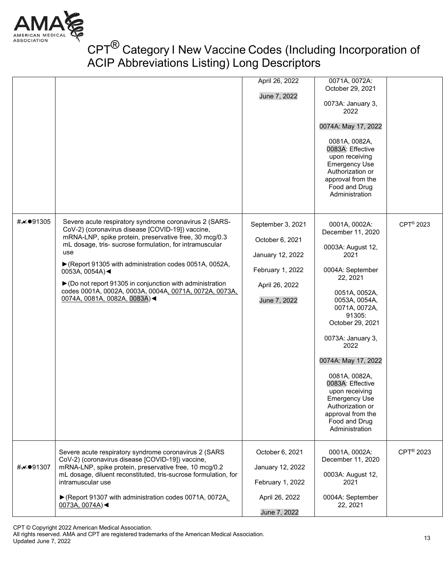

|          |                                                                                                                                                                                                                                                                                                                                                                                                                                                                           | April 26, 2022<br>June 7, 2022                                                                                 | 0071A, 0072A:<br>October 29, 2021<br>0073A: January 3,<br>2022<br>0074A: May 17, 2022<br>0081A, 0082A,<br>0083A: Effective<br>upon receiving<br><b>Emergency Use</b><br>Authorization or<br>approval from the<br>Food and Drug<br>Administration                                                                                                                                                |                       |
|----------|---------------------------------------------------------------------------------------------------------------------------------------------------------------------------------------------------------------------------------------------------------------------------------------------------------------------------------------------------------------------------------------------------------------------------------------------------------------------------|----------------------------------------------------------------------------------------------------------------|-------------------------------------------------------------------------------------------------------------------------------------------------------------------------------------------------------------------------------------------------------------------------------------------------------------------------------------------------------------------------------------------------|-----------------------|
| #⊮●91305 | Severe acute respiratory syndrome coronavirus 2 (SARS-<br>CoV-2) (coronavirus disease [COVID-19]) vaccine,<br>mRNA-LNP, spike protein, preservative free, 30 mcg/0.3<br>mL dosage, tris- sucrose formulation, for intramuscular<br>use<br>▶ (Report 91305 with administration codes 0051A, 0052A,<br>0053A, 0054A)<<br>▶ (Do not report 91305 in conjunction with administration<br>codes 0001A, 0002A, 0003A, 0004A, 0071A, 0072A, 0073A,<br>0074A, 0081A, 0082A, 0083A) | September 3, 2021<br>October 6, 2021<br>January 12, 2022<br>February 1, 2022<br>April 26, 2022<br>June 7, 2022 | 0001A, 0002A:<br>December 11, 2020<br>0003A: August 12,<br>2021<br>0004A: September<br>22, 2021<br>0051A, 0052A,<br>0053A, 0054A,<br>0071A, 0072A,<br>91305:<br>October 29, 2021<br>0073A: January 3,<br>2022<br>0074A: May 17, 2022<br>0081A, 0082A,<br>0083A: Effective<br>upon receiving<br><b>Emergency Use</b><br>Authorization or<br>approval from the<br>Food and Drug<br>Administration | CPT <sup>®</sup> 2023 |
| #⊬●91307 | Severe acute respiratory syndrome coronavirus 2 (SARS<br>CoV-2) (coronavirus disease [COVID-19]) vaccine,<br>mRNA-LNP, spike protein, preservative free, 10 mcg/0.2<br>mL dosage, diluent reconstituted, tris-sucrose formulation, for<br>intramuscular use<br>▶ (Report 91307 with administration codes 0071A, 0072A,<br>0073A, 0074A)<                                                                                                                                  | October 6, 2021<br>January 12, 2022<br>February 1, 2022<br>April 26, 2022<br>June 7, 2022                      | 0001A, 0002A:<br>December 11, 2020<br>0003A: August 12,<br>2021<br>0004A: September<br>22, 2021                                                                                                                                                                                                                                                                                                 | CPT <sup>®</sup> 2023 |

CPT © Copyright 2022 American Medical Association.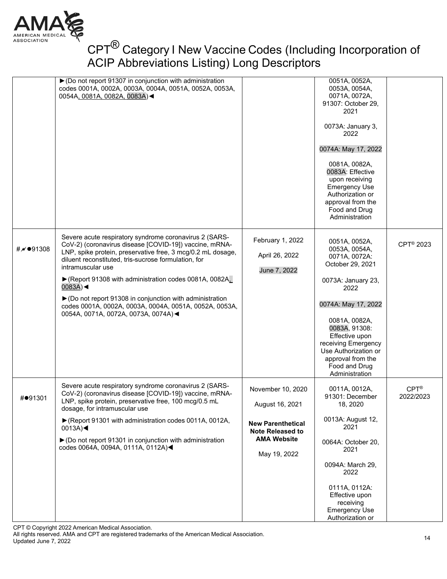

|                          | ▶ (Do not report 91307 in conjunction with administration<br>codes 0001A, 0002A, 0003A, 0004A, 0051A, 0052A, 0053A,<br>0054A, 0081A, 0082A, 0083A)<                                                                                                                                                                                                                                                                                                                                                |                                                                                                                                   | 0051A, 0052A,<br>0053A, 0054A,<br>0071A, 0072A,<br>91307: October 29,<br>2021<br>0073A: January 3,<br>2022<br>0074A: May 17, 2022<br>0081A, 0082A,<br>0083A: Effective<br>upon receiving<br><b>Emergency Use</b><br>Authorization or<br>approval from the<br>Food and Drug<br>Administration |                                |
|--------------------------|----------------------------------------------------------------------------------------------------------------------------------------------------------------------------------------------------------------------------------------------------------------------------------------------------------------------------------------------------------------------------------------------------------------------------------------------------------------------------------------------------|-----------------------------------------------------------------------------------------------------------------------------------|----------------------------------------------------------------------------------------------------------------------------------------------------------------------------------------------------------------------------------------------------------------------------------------------|--------------------------------|
| # $\overline{M}$ ● 91308 | Severe acute respiratory syndrome coronavirus 2 (SARS-<br>CoV-2) (coronavirus disease [COVID-19]) vaccine, mRNA-<br>LNP, spike protein, preservative free, 3 mcg/0.2 mL dosage,<br>diluent reconstituted, tris-sucrose formulation, for<br>intramuscular use<br>▶ (Report 91308 with administration codes 0081A, 0082A,<br>$0083A$ )<br>▶ (Do not report 91308 in conjunction with administration<br>codes 0001A, 0002A, 0003A, 0004A, 0051A, 0052A, 0053A,<br>0054A, 0071A, 0072A, 0073A, 0074A)< | February 1, 2022<br>April 26, 2022<br>June 7, 2022                                                                                | 0051A, 0052A,<br>0053A, 0054A,<br>0071A, 0072A:<br>October 29, 2021<br>0073A: January 23,<br>2022<br>0074A: May 17, 2022<br>0081A, 0082A,<br>0083A, 91308:<br>Effective upon<br>receiving Emergency<br>Use Authorization or<br>approval from the<br>Food and Drug<br>Administration          | CPT <sup>®</sup> 2023          |
| #●91301                  | Severe acute respiratory syndrome coronavirus 2 (SARS-<br>CoV-2) (coronavirus disease [COVID-19]) vaccine, mRNA-<br>LNP, spike protein, preservative free, 100 mcg/0.5 mL<br>dosage, for intramuscular use<br>▶ (Report 91301 with administration codes 0011A, 0012A,<br>$0013A$ )<br>▶ (Do not report 91301 in conjunction with administration<br>codes 0064A, 0094A, 0111A, 0112A)◀                                                                                                              | November 10, 2020<br>August 16, 2021<br><b>New Parenthetical</b><br><b>Note Released to</b><br><b>AMA Website</b><br>May 19, 2022 | 0011A, 0012A,<br>91301: December<br>18, 2020<br>0013A: August 12,<br>2021<br>0064A: October 20,<br>2021<br>0094A: March 29,<br>2022<br>0111A, 0112A:<br>Effective upon<br>receiving<br><b>Emergency Use</b><br>Authorization or                                                              | $CPT^{\circledR}$<br>2022/2023 |

CPT © Copyright 2022 American Medical Association.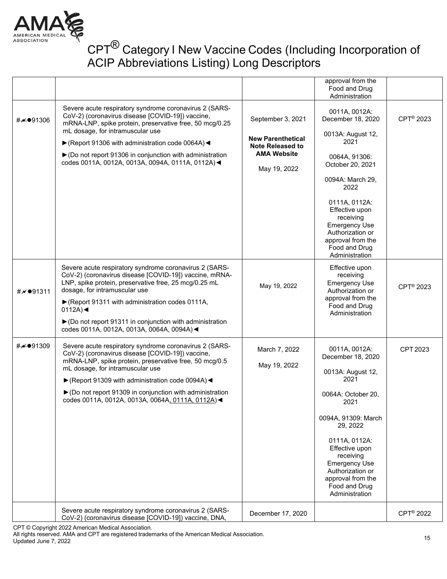

|                        |                                                                                                                                                                                                                                                                                                                                                                                                                   |                                                                                                                | approval from the<br>Food and Drug                                                                                                                                                                                |                       |
|------------------------|-------------------------------------------------------------------------------------------------------------------------------------------------------------------------------------------------------------------------------------------------------------------------------------------------------------------------------------------------------------------------------------------------------------------|----------------------------------------------------------------------------------------------------------------|-------------------------------------------------------------------------------------------------------------------------------------------------------------------------------------------------------------------|-----------------------|
| #⊮●91306               | Severe acute respiratory syndrome coronavirus 2 (SARS-<br>CoV-2) (coronavirus disease [COVID-19]) vaccine,<br>mRNA-LNP, spike protein, preservative free, 50 mcg/0.25<br>mL dosage, for intramuscular use<br>$\blacktriangleright$ (Report 91306 with administration code 0064A)<br>$\triangleright$ (Do not report 91306 in conjunction with administration<br>codes 0011A, 0012A, 0013A, 0094A, 0111A, 0112A) < | September 3, 2021<br><b>New Parenthetical</b><br><b>Note Released to</b><br><b>AMA Website</b><br>May 19, 2022 | Administration<br>0011A, 0012A:<br>December 18, 2020<br>0013A: August 12,<br>2021<br>0064A, 91306:<br>October 20, 2021<br>0094A: March 29,<br>2022<br>0111A, 0112A:                                               | CPT <sup>®</sup> 2023 |
|                        |                                                                                                                                                                                                                                                                                                                                                                                                                   |                                                                                                                | Effective upon<br>receiving<br><b>Emergency Use</b><br>Authorization or<br>approval from the<br>Food and Drug<br>Administration                                                                                   |                       |
| #₩●91311               | Severe acute respiratory syndrome coronavirus 2 (SARS-<br>CoV-2) (coronavirus disease [COVID-19]) vaccine, mRNA-<br>LNP, spike protein, preservative free, 25 mcg/0.25 mL<br>dosage, for intramuscular use<br>▶ (Report 91311 with administration codes 0111A,<br>$0112A$ $\blacktriangleleft$                                                                                                                    | May 19, 2022                                                                                                   | Effective upon<br>receiving<br><b>Emergency Use</b><br>Authorization or<br>approval from the<br>Food and Drug<br>Administration                                                                                   | CPT <sup>®</sup> 2023 |
|                        | ▶ (Do not report 91311 in conjunction with administration<br>codes 0011A, 0012A, 0013A, 0064A, 0094A) <                                                                                                                                                                                                                                                                                                           |                                                                                                                |                                                                                                                                                                                                                   |                       |
| # $\mathcal{M}$ ●91309 | Severe acute respiratory syndrome coronavirus 2 (SARS-<br>CoV-2) (coronavirus disease [COVID-19]) vaccine,<br>mRNA-LNP, spike protein, preservative free, 50 mcg/0.5<br>mL dosage, for intramuscular use<br>▶ (Report 91309 with administration code 0094A) <                                                                                                                                                     | March 7, 2022<br>May 19, 2022                                                                                  | 0011A, 0012A:<br>December 18, 2020<br>0013A: August 12,<br>2021                                                                                                                                                   | CPT 2023              |
|                        | ▶ (Do not report 91309 in conjunction with administration<br>codes 0011A, 0012A, 0013A, 0064A, 0111A, 0112A)<                                                                                                                                                                                                                                                                                                     |                                                                                                                | 0064A: October 20,<br>2021<br>0094A, 91309: March<br>29, 2022<br>0111A, 0112A:<br>Effective upon<br>receiving<br><b>Emergency Use</b><br>Authorization or<br>approval from the<br>Food and Drug<br>Administration |                       |
|                        | Severe acute respiratory syndrome coronavirus 2 (SARS-<br>CoV-2) (coronavirus disease [COVID-19]) vaccine, DNA,                                                                                                                                                                                                                                                                                                   | December 17, 2020                                                                                              |                                                                                                                                                                                                                   | CPT <sup>®</sup> 2022 |

CPT © Copyright 2022 American Medical Association.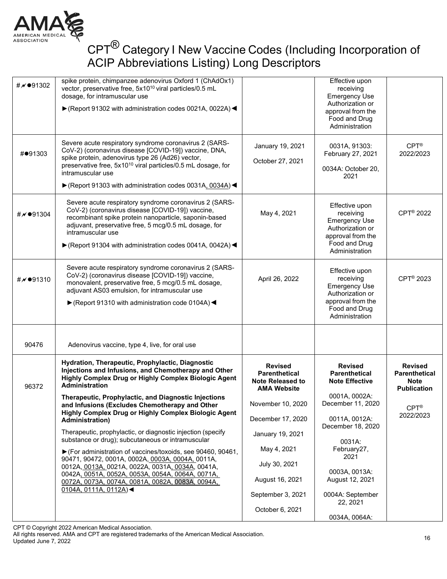

| # √ ● 91302              | spike protein, chimpanzee adenovirus Oxford 1 (ChAdOx1)<br>vector, preservative free, 5x10 <sup>10</sup> viral particles/0.5 mL<br>dosage, for intramuscular use<br>▶ (Report 91302 with administration codes 0021A, 0022A) <                                                                                                     |                                                                                  | Effective upon<br>receiving<br><b>Emergency Use</b><br>Authorization or<br>approval from the<br>Food and Drug<br>Administration |                                                                             |
|--------------------------|-----------------------------------------------------------------------------------------------------------------------------------------------------------------------------------------------------------------------------------------------------------------------------------------------------------------------------------|----------------------------------------------------------------------------------|---------------------------------------------------------------------------------------------------------------------------------|-----------------------------------------------------------------------------|
| #●91303                  | Severe acute respiratory syndrome coronavirus 2 (SARS-<br>CoV-2) (coronavirus disease [COVID-19]) vaccine, DNA,<br>spike protein, adenovirus type 26 (Ad26) vector,<br>preservative free, 5x10 <sup>10</sup> viral particles/0.5 mL dosage, for<br>intramuscular use<br>▶ (Report 91303 with administration codes 0031A, 0034A) < | January 19, 2021<br>October 27, 2021                                             | 0031A, 91303:<br>February 27, 2021<br>0034A: October 20,<br>2021                                                                | $CPT^{\circledR}$<br>2022/2023                                              |
| #∥●91304                 | Severe acute respiratory syndrome coronavirus 2 (SARS-<br>CoV-2) (coronavirus disease [COVID-19]) vaccine,<br>recombinant spike protein nanoparticle, saponin-based<br>adjuvant, preservative free, 5 mcg/0.5 mL dosage, for<br>intramuscular use<br>▶ (Report 91304 with administration codes 0041A, 0042A) <                    | May 4, 2021                                                                      | Effective upon<br>receiving<br><b>Emergency Use</b><br>Authorization or<br>approval from the<br>Food and Drug<br>Administration | CPT <sup>®</sup> 2022                                                       |
| # $\overline{M}$ ● 91310 | Severe acute respiratory syndrome coronavirus 2 (SARS-<br>CoV-2) (coronavirus disease [COVID-19]) vaccine,<br>monovalent, preservative free, 5 mcg/0.5 mL dosage,<br>adjuvant AS03 emulsion, for intramuscular use<br>▶ (Report 91310 with administration code 0104A) <                                                           | April 26, 2022                                                                   | Effective upon<br>receiving<br><b>Emergency Use</b><br>Authorization or<br>approval from the<br>Food and Drug<br>Administration | CPT <sup>®</sup> 2023                                                       |
| 90476                    | Adenovirus vaccine, type 4, live, for oral use                                                                                                                                                                                                                                                                                    |                                                                                  |                                                                                                                                 |                                                                             |
| 96372                    | Hydration, Therapeutic, Prophylactic, Diagnostic<br>Injections and Infusions, and Chemotherapy and Other<br>Highly Complex Drug or Highly Complex Biologic Agent<br>Administration<br>Therapeutic, Prophylactic, and Diagnostic Injections                                                                                        | <b>Revised</b><br><b>Parenthetical</b><br>Note Released to<br><b>AMA Website</b> | <b>Revised</b><br><b>Parenthetical</b><br><b>Note Effective</b><br>0001A, 0002A:                                                | <b>Revised</b><br><b>Parenthetical</b><br><b>Note</b><br><b>Publication</b> |
|                          | and Infusions (Excludes Chemotherapy and Other<br>Highly Complex Drug or Highly Complex Biologic Agent<br><b>Administration)</b>                                                                                                                                                                                                  | November 10, 2020<br>December 17, 2020                                           | December 11, 2020<br>0011A, 0012A:<br>December 18, 2020                                                                         | $CPT^{\circledR}$<br>2022/2023                                              |
|                          | Therapeutic, prophylactic, or diagnostic injection (specify<br>substance or drug); subcutaneous or intramuscular                                                                                                                                                                                                                  | January 19, 2021                                                                 | 0031A:                                                                                                                          |                                                                             |
|                          | ▶ (For administration of vaccines/toxoids, see 90460, 90461,<br>90471, 90472, 0001A, 0002A, 0003A, 0004A, 0011A,                                                                                                                                                                                                                  | May 4, 2021                                                                      | February27,<br>2021                                                                                                             |                                                                             |
|                          | 0012A, 0013A, 0021A, 0022A, 0031A, 0034A, 0041A,<br>0042A, 0051A, 0052A, 0053A, 0054A, 0064A, 0071A,<br>0072A, 0073A, 0074A, 0081A, 0082A, 0083A, 0094A,                                                                                                                                                                          | July 30, 2021<br>August 16, 2021                                                 | 0003A, 0013A:<br>August 12, 2021                                                                                                |                                                                             |
|                          | 0104A, 0111A, 0112A                                                                                                                                                                                                                                                                                                               | September 3, 2021                                                                | 0004A: September<br>22, 2021                                                                                                    |                                                                             |
|                          |                                                                                                                                                                                                                                                                                                                                   | October 6, 2021                                                                  | 0034A, 0064A:                                                                                                                   |                                                                             |

CPT © Copyright 2022 American Medical Association.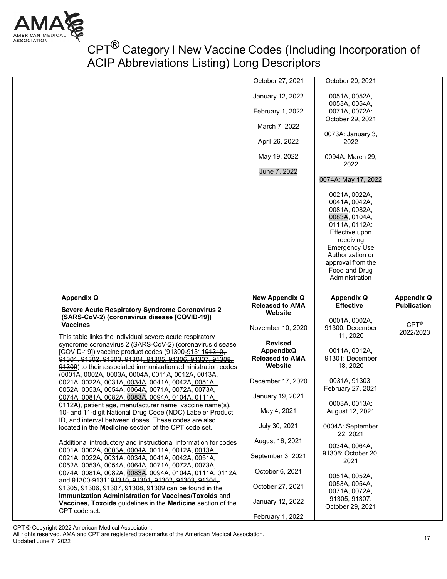

|                                                                                                      | October 27, 2021       | October 20, 2021                |                    |
|------------------------------------------------------------------------------------------------------|------------------------|---------------------------------|--------------------|
|                                                                                                      | January 12, 2022       | 0051A, 0052A,                   |                    |
|                                                                                                      |                        | 0053A, 0054A,                   |                    |
|                                                                                                      | February 1, 2022       |                                 |                    |
|                                                                                                      |                        | 0071A, 0072A:                   |                    |
|                                                                                                      | March 7, 2022          | October 29, 2021                |                    |
|                                                                                                      |                        | 0073A: January 3,               |                    |
|                                                                                                      | April 26, 2022         | 2022                            |                    |
|                                                                                                      |                        |                                 |                    |
|                                                                                                      | May 19, 2022           | 0094A: March 29,                |                    |
|                                                                                                      |                        | 2022                            |                    |
|                                                                                                      | June 7, 2022           |                                 |                    |
|                                                                                                      |                        | 0074A: May 17, 2022             |                    |
|                                                                                                      |                        |                                 |                    |
|                                                                                                      |                        | 0021A, 0022A,                   |                    |
|                                                                                                      |                        | 0041A, 0042A,                   |                    |
|                                                                                                      |                        | 0081A, 0082A,                   |                    |
|                                                                                                      |                        | 0083A, 0104A,                   |                    |
|                                                                                                      |                        | 0111A, 0112A:                   |                    |
|                                                                                                      |                        | Effective upon                  |                    |
|                                                                                                      |                        | receiving                       |                    |
|                                                                                                      |                        | <b>Emergency Use</b>            |                    |
|                                                                                                      |                        | Authorization or                |                    |
|                                                                                                      |                        |                                 |                    |
|                                                                                                      |                        | approval from the               |                    |
|                                                                                                      |                        | Food and Drug<br>Administration |                    |
|                                                                                                      |                        |                                 |                    |
|                                                                                                      |                        |                                 |                    |
| <b>Appendix Q</b>                                                                                    | <b>New Appendix Q</b>  | <b>Appendix Q</b>               | <b>Appendix Q</b>  |
|                                                                                                      |                        |                                 |                    |
|                                                                                                      | <b>Released to AMA</b> | <b>Effective</b>                | <b>Publication</b> |
| <b>Severe Acute Respiratory Syndrome Coronavirus 2</b>                                               | Website                |                                 |                    |
| (SARS-CoV-2) (coronavirus disease [COVID-19])                                                        |                        | 0001A, 0002A,                   |                    |
| <b>Vaccines</b>                                                                                      | November 10, 2020      | 91300: December                 | $CPT^{\circledR}$  |
|                                                                                                      |                        | 11, 2020                        | 2022/2023          |
| This table links the individual severe acute respiratory                                             | <b>Revised</b>         |                                 |                    |
| syndrome coronavirus 2 (SARS-CoV-2) (coronavirus disease                                             | <b>AppendixQ</b>       | 0011A, 0012A,                   |                    |
| [COVID-19]) vaccine product codes (91300-9131191310,                                                 | <b>Released to AMA</b> | 91301: December                 |                    |
| 91301, 91302, 91303, 91304, 91305, 91306, 91307, 91308,                                              | Website                | 18, 2020                        |                    |
| 91309) to their associated immunization administration codes                                         |                        |                                 |                    |
| (0001A, 0002A, 0003A, 0004A, 0011A, 0012A, 0013A,                                                    | December 17, 2020      | 0031A, 91303:                   |                    |
| 0021A, 0022A, 0031A, 0034A, 0041A, 0042A, 0051A,                                                     |                        | February 27, 2021               |                    |
| 0052A, 0053A, 0054A, 0064A, 0071A, 0072A, 0073A,<br>0074A, 0081A, 0082A, 0083A, 0094A, 0104A, 0111A, | January 19, 2021       |                                 |                    |
| 0112A), patient age, manufacturer name, vaccine name(s),                                             |                        | 0003A, 0013A:                   |                    |
|                                                                                                      | May 4, 2021            | August 12, 2021                 |                    |
| 10- and 11-digit National Drug Code (NDC) Labeler Product                                            |                        |                                 |                    |
| ID, and interval between doses. These codes are also                                                 | July 30, 2021          | 0004A: September                |                    |
| located in the Medicine section of the CPT code set.                                                 |                        | 22, 2021                        |                    |
|                                                                                                      | August 16, 2021        |                                 |                    |
| Additional introductory and instructional information for codes                                      |                        | 0034A, 0064A,                   |                    |
| 0001A, 0002A, 0003A, 0004A, 0011A, 0012A, 0013A,                                                     | September 3, 2021      | 91306: October 20,              |                    |
| 0021A, 0022A, 0031A, 0034A, 0041A, 0042A, 0051A,                                                     |                        | 2021                            |                    |
| 0052A, 0053A, 0054A, 0064A, 0071A, 0072A, 0073A,                                                     | October 6, 2021        |                                 |                    |
| 0074A, 0081A, 0082A, 0083A, 0094A, 0104A, 0111A, 0112A                                               |                        | 0051A, 0052A,                   |                    |
| and 91300-9131191310, 91301, 91302, 91303, 91304,                                                    | October 27, 2021       | 0053A, 0054A,                   |                    |
| 91305, 91306, 91307, 91308, 91309 can be found in the                                                |                        | 0071A, 0072A,                   |                    |
| Immunization Administration for Vaccines/Toxoids and                                                 | January 12, 2022       | 91305, 91307:                   |                    |
| Vaccines, Toxoids guidelines in the Medicine section of the<br>CPT code set.                         | February 1, 2022       | October 29, 2021                |                    |

CPT © Copyright 2022 American Medical Association.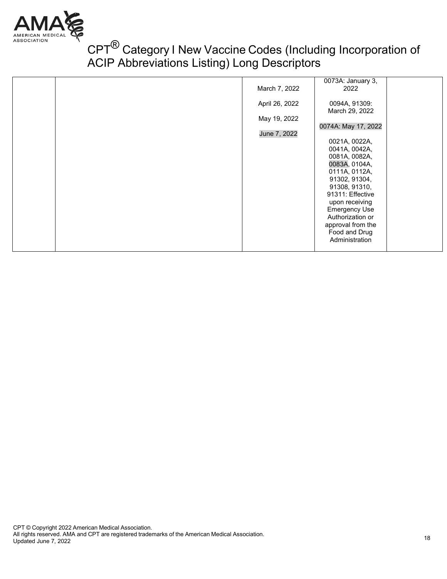

|  |                | 0073A: January 3,<br>2022          |  |
|--|----------------|------------------------------------|--|
|  | March 7, 2022  |                                    |  |
|  | April 26, 2022 | 0094A, 91309:                      |  |
|  |                | March 29, 2022                     |  |
|  | May 19, 2022   |                                    |  |
|  | June 7, 2022   | 0074A: May 17, 2022                |  |
|  |                | 0021A, 0022A,                      |  |
|  |                | 0041A, 0042A,                      |  |
|  |                | 0081A, 0082A,                      |  |
|  |                | 0083A, 0104A,                      |  |
|  |                | 0111A, 0112A,<br>91302, 91304,     |  |
|  |                | 91308, 91310,                      |  |
|  |                | 91311: Effective                   |  |
|  |                | upon receiving                     |  |
|  |                | <b>Emergency Use</b>               |  |
|  |                | Authorization or                   |  |
|  |                | approval from the<br>Food and Drug |  |
|  |                | Administration                     |  |
|  |                |                                    |  |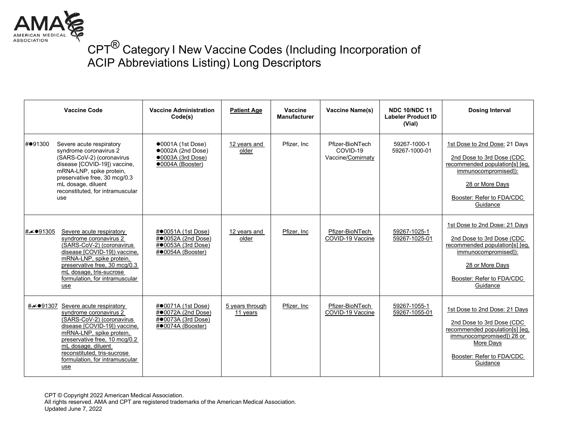

|                 | <b>Vaccine Code</b>                                                                                                                                                                                                                                                          | <b>Vaccine Administration</b><br>Code(s)                                                                   | <b>Patient Age</b>          | Vaccine<br><b>Manufacturer</b> | Vaccine Name(s)                                  | <b>NDC 10/NDC 11</b><br><b>Labeler Product ID</b><br>(Vial) | <b>Dosing Interval</b>                                                                                                                                                            |
|-----------------|------------------------------------------------------------------------------------------------------------------------------------------------------------------------------------------------------------------------------------------------------------------------------|------------------------------------------------------------------------------------------------------------|-----------------------------|--------------------------------|--------------------------------------------------|-------------------------------------------------------------|-----------------------------------------------------------------------------------------------------------------------------------------------------------------------------------|
| #●91300<br>use  | Severe acute respiratory<br>syndrome coronavirus 2<br>(SARS-CoV-2) (coronavirus<br>disease [COVID-19]) vaccine,<br>mRNA-LNP, spike protein,<br>preservative free, 30 mcg/0.3<br>mL dosage, diluent<br>reconstituted, for intramuscular                                       | $\bullet$ 0001A (1st Dose)<br>$\bullet$ 0002A (2nd Dose)<br>$\bullet$ 0003A (3rd Dose)<br>·0004A (Booster) | 12 years and<br>older       | Pfizer, Inc.                   | Pfizer-BioNTech<br>COVID-19<br>Vaccine/Comirnaty | 59267-1000-1<br>59267-1000-01                               | 1st Dose to 2nd Dose: 21 Days<br>2nd Dose to 3rd Dose (CDC)<br>recommended population[s] [eg.<br>immunocompromised]):<br>28 or More Days<br>Booster: Refer to FDA/CDC<br>Guidance |
| #⊮●91305<br>use | Severe acute respiratory<br>syndrome coronavirus 2<br>(SARS-CoV-2) (coronavirus<br>disease [COVID-19]) vaccine,<br>mRNA-LNP, spike protein,<br>preservative free, 30 mcg/0.3<br>mL dosage, tris-sucrose<br>formulation, for intramuscular                                    | $\#$ 0051A (1st Dose)<br>#●0052A (2nd Dose)<br>#●0053A (3rd Dose)<br>#●0054A (Booster)                     | 12 years and<br>older       | Pfizer, Inc.                   | Pfizer-BioNTech<br>COVID-19 Vaccine              | 59267-1025-1<br>59267-1025-01                               | 1st Dose to 2nd Dose: 21 Days<br>2nd Dose to 3rd Dose (CDC<br>recommended population[s] [eg,<br>immunocompromised]):<br>28 or More Days<br>Booster: Refer to FDA/CDC<br>Guidance  |
| $use$           | #/091307 Severe acute respiratory<br>syndrome coronavirus 2<br>(SARS-CoV-2) (coronavirus<br>disease [COVID-19]) vaccine.<br>mRNA-LNP, spike protein,<br>preservative free, 10 mcg/0.2<br>mL dosage, diluent<br>reconstituted, tris-sucrose<br>formulation, for intramuscular | #●0071A (1st Dose)<br>#●0072A (2nd Dose)<br>#●0073A (3rd Dose)<br>#●0074A (Booster)                        | 5 years through<br>11 years | Pfizer, Inc                    | Pfizer-BioNTech<br>COVID-19 Vaccine              | 59267-1055-1<br>59267-1055-01                               | 1st Dose to 2nd Dose: 21 Days<br>2nd Dose to 3rd Dose (CDC<br>recommended population[s] [eq.<br>immunocompromised]) 28 or<br>More Days<br>Booster: Refer to FDA/CDC<br>Guidance   |

CPT © Copyright 2022 American Medical Association.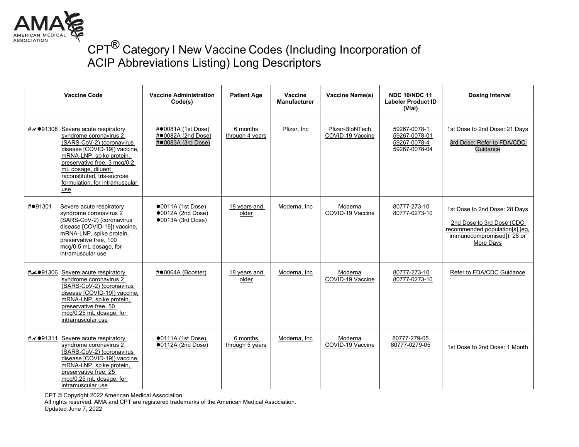

|          | <b>Vaccine Code</b>                                                                                                                                                                                                                                                       | <b>Vaccine Administration</b><br>Code(s)                                        | <b>Patient Age</b>          | Vaccine<br><b>Manufacturer</b> | Vaccine Name(s)                     | <b>NDC 10/NDC 11</b><br><b>Labeler Product ID</b><br>(Vial)    | <b>Dosing Interval</b>                                                                                                                   |
|----------|---------------------------------------------------------------------------------------------------------------------------------------------------------------------------------------------------------------------------------------------------------------------------|---------------------------------------------------------------------------------|-----------------------------|--------------------------------|-------------------------------------|----------------------------------------------------------------|------------------------------------------------------------------------------------------------------------------------------------------|
| #∥●91308 | Severe acute respiratory<br>syndrome coronavirus 2<br>(SARS-CoV-2) (coronavirus<br>disease [COVID-19]) vaccine.<br>mRNA-LNP, spike protein,<br>preservative free, 3 mcg/0.2<br>mL dosage, diluent<br>reconstituted, tris-sucrose<br>formulation, for intramuscular<br>use | #●0081A (1st Dose)<br>#●0082A (2nd Dose)<br>#●0083A (3rd Dose)                  | 6 months<br>through 4 years | Pfizer, Inc.                   | Pfizer-BioNTech<br>COVID-19 Vaccine | 59267-0078-1<br>59267-0078-01<br>59267-0078-4<br>59267-0078-04 | 1st Dose to 2nd Dose: 21 Days<br>3rd Dose: Refer to FDA/CDC<br>Guidance                                                                  |
| #●91301  | Severe acute respiratory<br>syndrome coronavirus 2<br>(SARS-CoV-2) (coronavirus<br>disease [COVID-19]) vaccine,<br>mRNA-LNP, spike protein,<br>preservative free, 100<br>mcg/0.5 mL dosage, for<br>intramuscular use                                                      | $\bullet$ 0011A (1st Dose)<br>$\bullet$ 0012A (2nd Dose)<br>$•0013A$ (3rd Dose) | 18 years and<br>older       | Moderna, Inc                   | Moderna<br>COVID-19 Vaccine         | 80777-273-10<br>80777-0273-10                                  | 1st Dose to 2nd Dose: 28 Days<br>2nd Dose to 3rd Dose (CDC)<br>recommended population[s] [eq.<br>immunocompromised]): 28 or<br>More Days |
|          | # $\neq$ ●91306 Severe acute respiratory<br>syndrome coronavirus 2<br>(SARS-CoV-2) (coronavirus<br>disease [COVID-19]) vaccine.<br>mRNA-LNP, spike protein,<br>preservative free, 50<br>mcg/0.25 mL dosage, for<br>intramuscular use                                      | #●0064A (Booster)                                                               | 18 years and<br>older       | Moderna, Inc                   | Moderna<br>COVID-19 Vaccine         | 80777-273-10<br>80777-0273-10                                  | Refer to FDA/CDC Guidance                                                                                                                |
| #∥●91311 | Severe acute respiratory<br>syndrome coronavirus 2<br>(SARS-CoV-2) (coronavirus<br>disease [COVID-19]) vaccine,<br>mRNA-LNP, spike protein,<br>preservative free, 25<br>mcg/0.25 mL dosage, for<br>intramuscular use                                                      | $\bullet$ 0111A (1st Dose)<br>$\bullet$ 0112A (2nd Dose)                        | 6 months<br>through 5 years | Moderna, Inc                   | Moderna<br>COVID-19 Vaccine         | 80777-279-05<br>80777-0279-05                                  | 1st Dose to 2nd Dose: 1 Month                                                                                                            |

CPT © Copyright 2022 American Medical Association.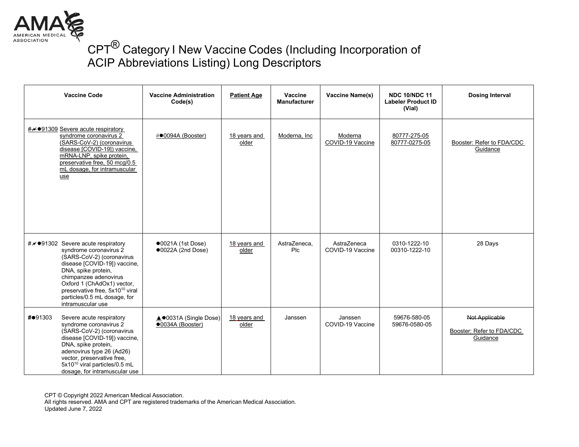

| <b>Vaccine Code</b>                                                                                                                                                                                                                                                                                                                 | <b>Vaccine Administration</b><br>Code(s)        | <b>Patient Age</b>    | Vaccine<br><b>Manufacturer</b> | Vaccine Name(s)                 | <b>NDC 10/NDC 11</b><br><b>Labeler Product ID</b><br>(Vial) | <b>Dosing Interval</b>                                  |
|-------------------------------------------------------------------------------------------------------------------------------------------------------------------------------------------------------------------------------------------------------------------------------------------------------------------------------------|-------------------------------------------------|-----------------------|--------------------------------|---------------------------------|-------------------------------------------------------------|---------------------------------------------------------|
| #⊬●91309 Severe acute respiratory<br>syndrome coronavirus 2<br>(SARS-CoV-2) (coronavirus<br>disease [COVID-19]) vaccine,<br>mRNA-LNP, spike protein,<br>preservative free, 50 mcq/0.5<br>mL dosage, for intramuscular<br>use                                                                                                        | #●0094A (Booster)                               | 18 years and<br>older | Moderna, Inc                   | Moderna<br>COVID-19 Vaccine     | 80777-275-05<br>80777-0275-05                               | Booster: Refer to FDA/CDC<br>Guidance                   |
| $\#\cancel{\sim}$ $\bullet$ 91302 Severe acute respiratory<br>syndrome coronavirus 2<br>(SARS-CoV-2) (coronavirus<br>disease [COVID-19]) vaccine,<br>DNA, spike protein,<br>chimpanzee adenovirus<br>Oxford 1 (ChAdOx1) vector,<br>preservative free, 5x10 <sup>10</sup> viral<br>particles/0.5 mL dosage, for<br>intramuscular use | $\bullet$ 0021A (1st Dose)<br>●0022A (2nd Dose) | 18 years and<br>older | AstraZeneca.<br>Plc            | AstraZeneca<br>COVID-19 Vaccine | 0310-1222-10<br>00310-1222-10                               | 28 Days                                                 |
| #●91303<br>Severe acute respiratory<br>syndrome coronavirus 2<br>(SARS-CoV-2) (coronavirus<br>disease [COVID-19]) vaccine,<br>DNA, spike protein,<br>adenovirus type 26 (Ad26)<br>vector, preservative free,<br>5x10 <sup>10</sup> viral particles/0.5 mL<br>dosage, for intramuscular use                                          | ▲●0031A (Single Dose)<br>●0034A (Booster)       | 18 years and<br>older | Janssen                        | Janssen<br>COVID-19 Vaccine     | 59676-580-05<br>59676-0580-05                               | Not Applicable<br>Booster: Refer to FDA/CDC<br>Guidance |

CPT © Copyright 2022 American Medical Association.